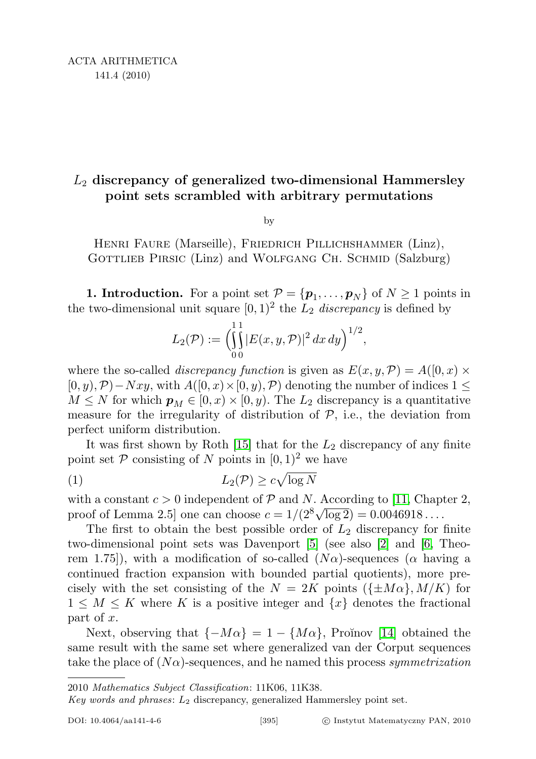## $L_2$  discrepancy of generalized two-dimensional Hammersley point sets scrambled with arbitrary permutations

by

Henri Faure (Marseille), Friedrich Pillichshammer (Linz), GOTTLIEB PIRSIC (Linz) and WOLFGANG CH. SCHMID (Salzburg)

**1. Introduction.** For a point set  $P = \{p_1, \ldots, p_N\}$  of  $N \ge 1$  points in the two-dimensional unit square  $[0, 1)^2$  the  $L_2$  discrepancy is defined by

$$
L_2(\mathcal{P}) := \left( \int_0^1 |E(x, y, \mathcal{P})|^2 dx dy \right)^{1/2},
$$

where the so-called *discrepancy function* is given as  $E(x, y, \mathcal{P}) = A([0, x) \times$  $[0, y), \mathcal{P}$ ) – Nxy, with  $A([0, x) \times [0, y), \mathcal{P})$  denoting the number of indices  $1 \leq$  $M \leq N$  for which  $p_M \in [0, x) \times [0, y)$ . The  $L_2$  discrepancy is a quantitative measure for the irregularity of distribution of  $P$ , i.e., the deviation from perfect uniform distribution.

It was first shown by Roth  $[15]$  that for the  $L_2$  discrepancy of any finite point set  $P$  consisting of N points in  $[0, 1)^2$  we have

<span id="page-0-0"></span>
$$
(1) \t\t\t L_2(\mathcal{P}) \ge c\sqrt{\log N}
$$

with a constant  $c > 0$  independent of  $P$  and N. According to [\[11,](#page-23-1) Chapter 2, with a constant  $c > 0$  independent of P and *I*V. According to [11, Chap proof of Lemma 2.5] one can choose  $c = 1/(2^8 \sqrt{\log 2}) = 0.0046918...$ 

The first to obtain the best possible order of  $L_2$  discrepancy for finite two-dimensional point sets was Davenport [\[5\]](#page-22-0) (see also [\[2\]](#page-22-1) and [\[6,](#page-22-2) Theorem 1.75]), with a modification of so-called  $(N\alpha)$ -sequences ( $\alpha$  having a continued fraction expansion with bounded partial quotients), more precisely with the set consisting of the  $N = 2K$  points  $({\pm M\alpha}, M/K)$  for  $1 \leq M \leq K$  where K is a positive integer and  $\{x\}$  denotes the fractional part of x.

Next, observing that  $\{-M\alpha\} = 1 - \{M\alpha\}$ , Proĭnov [\[14\]](#page-23-2) obtained the same result with the same set where generalized van der Corput sequences take the place of  $(N\alpha)$ -sequences, and he named this process symmetrization

Key words and phrases:  $L_2$  discrepancy, generalized Hammersley point set.

<sup>2010</sup> Mathematics Subject Classification: 11K06, 11K38.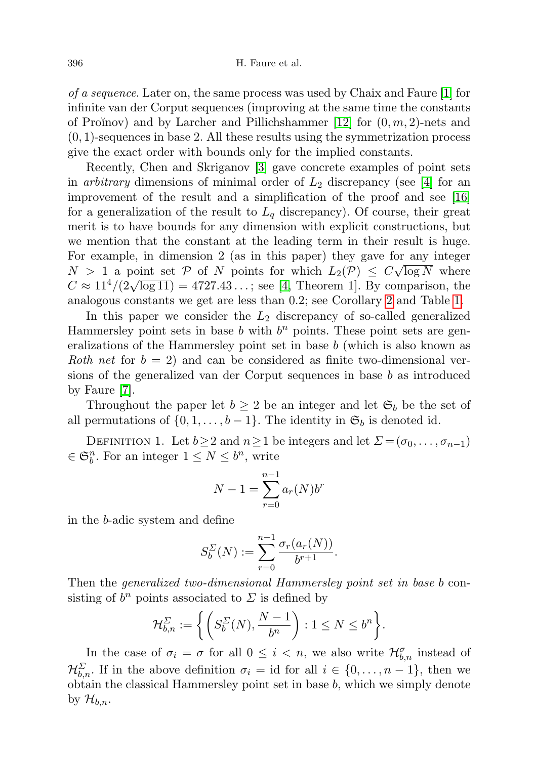of a sequence. Later on, the same process was used by Chaix and Faure [\[1\]](#page-22-3) for infinite van der Corput sequences (improving at the same time the constants of Proĭnov) and by Larcher and Pillichshammer  $[12]$  for  $(0, m, 2)$ -nets and  $(0, 1)$ -sequences in base 2. All these results using the symmetrization process give the exact order with bounds only for the implied constants.

Recently, Chen and Skriganov [\[3\]](#page-22-4) gave concrete examples of point sets in *arbitrary* dimensions of minimal order of  $L_2$  discrepancy (see [\[4\]](#page-22-5) for an improvement of the result and a simplification of the proof and see [\[16\]](#page-23-4) for a generalization of the result to  $L_q$  discrepancy). Of course, their great merit is to have bounds for any dimension with explicit constructions, but we mention that the constant at the leading term in their result is huge. For example, in dimension 2 (as in this paper) they gave for any integer  $N > 1$  a point set  $P$  of N points for which  $L_2(P) \leq C \sqrt{\log N}$  where  $C \approx 11^4/(2\sqrt{\log 11}) = 4727.43...$ ; see [\[4,](#page-22-5) Theorem 1]. By comparison, the analogous constants we get are less than 0.2; see Corollary [2](#page-5-0) and Table [1.](#page-21-0)

In this paper we consider the  $L_2$  discrepancy of so-called generalized Hammersley point sets in base  $b$  with  $b<sup>n</sup>$  points. These point sets are generalizations of the Hammersley point set in base b (which is also known as Roth net for  $b = 2$ ) and can be considered as finite two-dimensional versions of the generalized van der Corput sequences in base b as introduced by Faure [\[7\]](#page-22-6).

Throughout the paper let  $b \geq 2$  be an integer and let  $\mathfrak{S}_b$  be the set of all permutations of  $\{0, 1, \ldots, b-1\}$ . The identity in  $\mathfrak{S}_b$  is denoted id.

DEFINITION 1. Let  $b \geq 2$  and  $n \geq 1$  be integers and let  $\Sigma = (\sigma_0, \ldots, \sigma_{n-1})$  $\in \mathfrak{S}_b^n$ . For an integer  $1 \leq N \leq b^n$ , write

$$
N - 1 = \sum_{r=0}^{n-1} a_r(N) b^r
$$

in the b-adic system and define

$$
S_b^{\Sigma}(N) := \sum_{r=0}^{n-1} \frac{\sigma_r(a_r(N))}{b^{r+1}}.
$$

Then the generalized two-dimensional Hammersley point set in base b consisting of  $b^n$  points associated to  $\Sigma$  is defined by

$$
\mathcal{H}_{b,n}^{\Sigma} := \left\{ \left( S_b^{\Sigma}(N), \frac{N-1}{b^n} \right) : 1 \le N \le b^n \right\}.
$$

In the case of  $\sigma_i = \sigma$  for all  $0 \leq i < n$ , we also write  $\mathcal{H}_{b,n}^{\sigma}$  instead of  $\mathcal{H}_{b,n}^{\Sigma}$ . If in the above definition  $\sigma_i = id$  for all  $i \in \{0, \ldots, n-1\}$ , then we obtain the classical Hammersley point set in base  $b$ , which we simply denote by  $\mathcal{H}_{b,n}$ .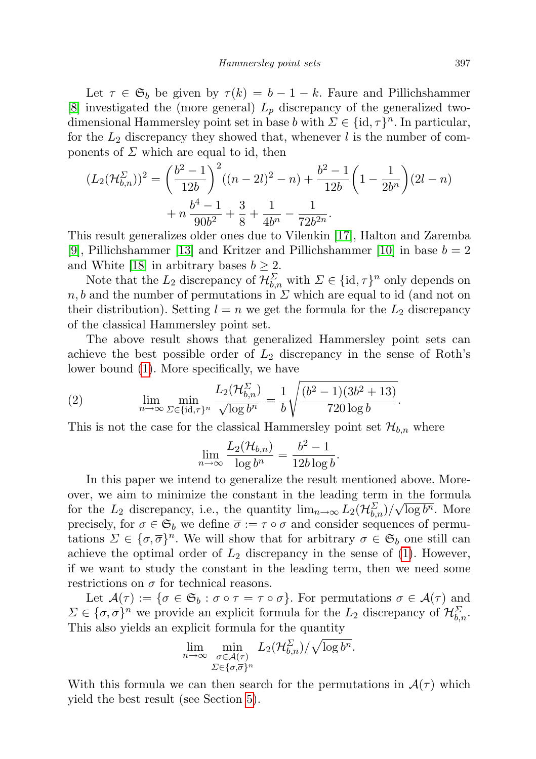Let  $\tau \in \mathfrak{S}_b$  be given by  $\tau(k) = b - 1 - k$ . Faure and Pillichshammer [\[8\]](#page-22-7) investigated the (more general)  $L_p$  discrepancy of the generalized twodimensional Hammersley point set in base b with  $\Sigma \in \{\text{id}, \tau\}^n$ . In particular, for the  $L_2$  discrepancy they showed that, whenever l is the number of components of  $\Sigma$  which are equal to id, then

$$
(L_2(\mathcal{H}_{b,n}^{\Sigma}))^2 = \left(\frac{b^2 - 1}{12b}\right)^2 ((n - 2l)^2 - n) + \frac{b^2 - 1}{12b} \left(1 - \frac{1}{2b^n}\right) (2l - n) + n \frac{b^4 - 1}{90b^2} + \frac{3}{8} + \frac{1}{4b^n} - \frac{1}{72b^{2n}}.
$$

This result generalizes older ones due to Vilenkin [\[17\]](#page-23-5), Halton and Zaremba [\[9\]](#page-22-8), Pillichshammer [\[13\]](#page-23-6) and Kritzer and Pillichshammer [\[10\]](#page-22-9) in base  $b = 2$ and White [\[18\]](#page-23-7) in arbitrary bases  $b \geq 2$ .

Note that the  $L_2$  discrepancy of  $\mathcal{H}_{b,n}^{\Sigma}$  with  $\Sigma \in \{\text{id}, \tau\}^n$  only depends on  $n, b$  and the number of permutations in  $\Sigma$  which are equal to id (and not on their distribution). Setting  $l = n$  we get the formula for the  $L_2$  discrepancy of the classical Hammersley point set.

The above result shows that generalized Hammersley point sets can achieve the best possible order of  $L_2$  discrepancy in the sense of Roth's lower bound [\(1\)](#page-0-0). More specifically, we have

<span id="page-2-0"></span>(2) 
$$
\lim_{n \to \infty} \min_{\Sigma \in \{\text{id}, \tau\}^n} \frac{L_2(\mathcal{H}_{b,n}^{\Sigma})}{\sqrt{\log b^n}} = \frac{1}{b} \sqrt{\frac{(b^2 - 1)(3b^2 + 13)}{720 \log b}}.
$$

This is not the case for the classical Hammersley point set  $\mathcal{H}_{b,n}$  where

$$
\lim_{n \to \infty} \frac{L_2(\mathcal{H}_{b,n})}{\log b^n} = \frac{b^2 - 1}{12b \log b}.
$$

In this paper we intend to generalize the result mentioned above. Moreover, we aim to minimize the constant in the leading term in the formula for the  $L_2$  discrepancy, i.e., the quantity  $\lim_{n\to\infty} L_2(\mathcal{H}_{b,n}^{\Sigma})/\sqrt{\log b^n}$ . More precisely, for  $\sigma \in \mathfrak{S}_b$  we define  $\overline{\sigma} := \tau \circ \sigma$  and consider sequences of permutations  $\Sigma \in {\{\sigma, \overline{\sigma}\}}^n$ . We will show that for arbitrary  $\sigma \in \mathfrak{S}_b$  one still can achieve the optimal order of  $L_2$  discrepancy in the sense of [\(1\)](#page-0-0). However, if we want to study the constant in the leading term, then we need some restrictions on  $\sigma$  for technical reasons.

Let  $\mathcal{A}(\tau) := \{\sigma \in \mathfrak{S}_b : \sigma \circ \tau = \tau \circ \sigma\}.$  For permutations  $\sigma \in \mathcal{A}(\tau)$  and  $\Sigma \in {\{\sigma, \overline{\sigma}\}}^n$  we provide an explicit formula for the  $L_2$  discrepancy of  $\mathcal{H}_{b,n}^{\Sigma}$ . This also yields an explicit formula for the quantity

$$
\lim_{n \to \infty} \min_{\substack{\sigma \in \mathcal{A}(\tau) \\ \Sigma \in {\{\sigma, \overline{\sigma}\}}^n}} L_2(\mathcal{H}_{b,n}^{\Sigma}) / \sqrt{\log b^n}.
$$

With this formula we can then search for the permutations in  $\mathcal{A}(\tau)$  which yield the best result (see Section [5\)](#page-19-0).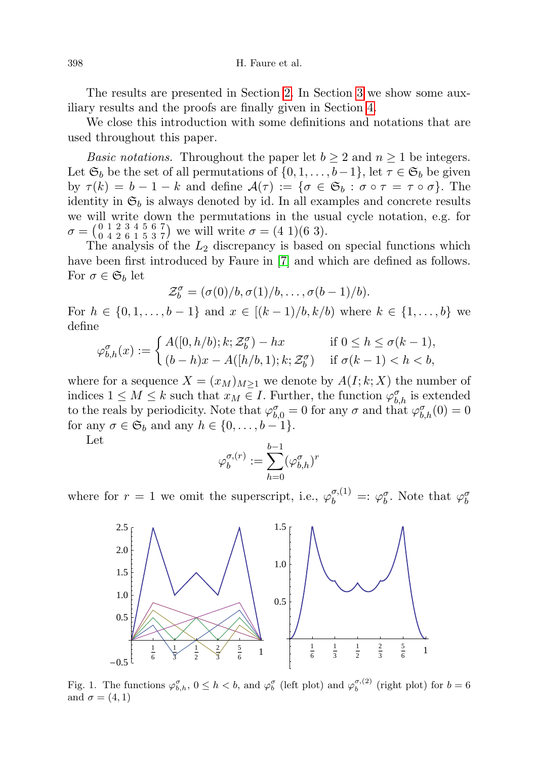The results are presented in Section [2.](#page-4-0) In Section [3](#page-7-0) we show some auxiliary results and the proofs are finally given in Section [4.](#page-14-0)

We close this introduction with some definitions and notations that are used throughout this paper.

*Basic notations.* Throughout the paper let  $b \geq 2$  and  $n \geq 1$  be integers. Let  $\mathfrak{S}_b$  be the set of all permutations of  $\{0, 1, \ldots, b-1\}$ , let  $\tau \in \mathfrak{S}_b$  be given by  $\tau(k) = b - 1 - k$  and define  $\mathcal{A}(\tau) := \{ \sigma \in \mathfrak{S}_b : \sigma \circ \tau = \tau \circ \sigma \}.$  The identity in  $\mathfrak{S}_b$  is always denoted by id. In all examples and concrete results we will write down the permutations in the usual cycle notation, e.g. for  $\sigma = \begin{pmatrix} 0 & 1 & 2 & 3 & 4 & 5 & 6 & 7 \\ 0 & 4 & 2 & 6 & 1 & 5 & 3 & 7 \end{pmatrix}$  we will write  $\sigma = (4 \ 1)(6 \ 3)$ .

The analysis of the  $L_2$  discrepancy is based on special functions which have been first introduced by Faure in [\[7\]](#page-22-6) and which are defined as follows. For  $\sigma \in \mathfrak{S}_b$  let

$$
\mathcal{Z}_{b}^{\sigma}=(\sigma(0)/b,\sigma(1)/b,\ldots,\sigma(b-1)/b).
$$

For  $h \in \{0, 1, \ldots, b-1\}$  and  $x \in [(k-1)/b, k/b)$  where  $k \in \{1, \ldots, b\}$  we define

$$
\varphi_{b,h}^{\sigma}(x) := \begin{cases} A([0,h/b);k;\mathcal{Z}_b^{\sigma}) - hx & \text{if } 0 \le h \le \sigma(k-1), \\ (b-h)x - A([h/b,1);k;\mathcal{Z}_b^{\sigma}) & \text{if } \sigma(k-1) < h < b, \end{cases}
$$

where for a sequence  $X = (x_M)_{M \geq 1}$  we denote by  $A(I; k; X)$  the number of indices  $1 \leq M \leq k$  such that  $x_M \in I$ . Further, the function  $\varphi_{b,h}^{\sigma}$  is extended to the reals by periodicity. Note that  $\varphi_{b,0}^{\sigma} = 0$  for any  $\sigma$  and that  $\varphi_{b,h}^{\sigma}(0) = 0$ for any  $\sigma \in \mathfrak{S}_b$  and any  $h \in \{0, \ldots, b-1\}.$ 

Let

$$
\varphi^{\sigma,(r)}_b:=\sum_{h=0}^{b-1}(\varphi^{\sigma}_{b,h})^r
$$

where for  $r = 1$  we omit the superscript, i.e.,  $\varphi_b^{\sigma,(1)} =: \varphi_b^{\sigma}$ . Note that  $\varphi_b^{\sigma}$ 



<span id="page-3-0"></span>Fig. 1. The functions  $\varphi_{b,h}^{\sigma}$ ,  $0 \leq h < b$ , and  $\varphi_b^{\sigma}$  (left plot) and  $\varphi_b^{\sigma,(2)}$  (right plot) for  $b = 6$ and  $\sigma = (4, 1)$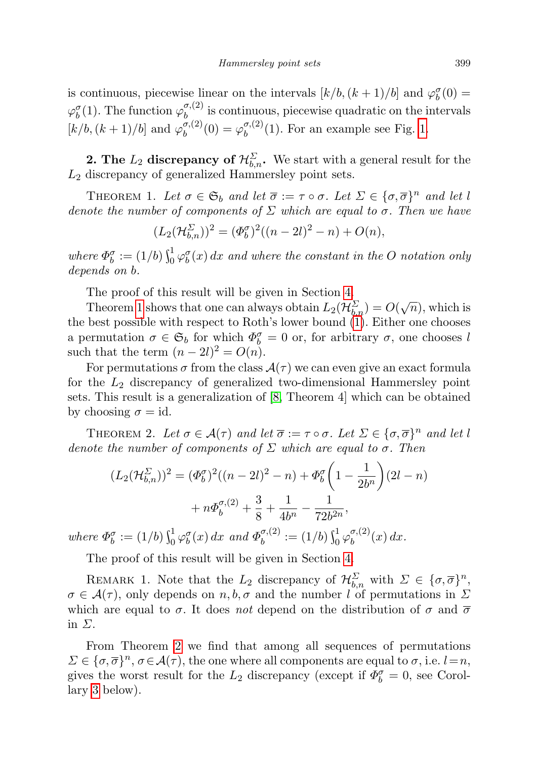is continuous, piecewise linear on the intervals  $[k/b, (k+1)/b]$  and  $\varphi_b^{\sigma}(0) =$  $\varphi_b^{\sigma}(1)$ . The function  $\varphi_b^{\sigma,(2)}$  is continuous, piecewise quadratic on the intervals  $b^{(1)}$  and random  $\varphi_b$  $[k/b, (k+1)/b]$  and  $\varphi_b^{\sigma,(2)}$  $\phi_b^{\sigma,(2)}(0) = \varphi_b^{\sigma,(2)}$  $b^{(0),(2)}(1)$ . For an example see Fig. [1.](#page-3-0)

<span id="page-4-0"></span>**2. The**  $L_2$  discrepancy of  $\mathcal{H}_{b,n}^{\Sigma}$ . We start with a general result for the  $L_2$  discrepancy of generalized Hammersley point sets.

<span id="page-4-1"></span>THEOREM 1. Let  $\sigma \in \mathfrak{S}_b$  and let  $\overline{\sigma} := \tau \circ \sigma$ . Let  $\Sigma \in {\{\sigma, \overline{\sigma}\}}^n$  and let l denote the number of components of  $\Sigma$  which are equal to  $\sigma$ . Then we have

$$
(L_2(\mathcal{H}_{b,n}^{\Sigma}))^2 = (\Phi_b^{\sigma})^2((n-2l)^2 - n) + O(n),
$$

where  $\Phi_b^{\sigma} := (1/b) \int_0^1 \varphi_b^{\sigma}(x) dx$  and where the constant in the O notation only depends on b.

The proof of this result will be given in Section [4.](#page-14-0)

Theorem [1](#page-4-1) shows that one can always obtain  $L_2(\mathcal{H}_{b,n}^{\Sigma}) = O(\sqrt{n})$ , which is the best possible with respect to Roth's lower bound [\(1\)](#page-0-0). Either one chooses a permutation  $\sigma \in \mathfrak{S}_b$  for which  $\Phi_b^{\sigma} = 0$  or, for arbitrary  $\sigma$ , one chooses l such that the term  $(n-2l)^2 = O(n)$ .

For permutations  $\sigma$  from the class  $\mathcal{A}(\tau)$  we can even give an exact formula for the  $L_2$  discrepancy of generalized two-dimensional Hammersley point sets. This result is a generalization of [\[8,](#page-22-7) Theorem 4] which can be obtained by choosing  $\sigma = id$ .

<span id="page-4-2"></span>THEOREM 2. Let  $\sigma \in \mathcal{A}(\tau)$  and let  $\overline{\sigma} := \tau \circ \sigma$ . Let  $\Sigma \in {\{\sigma, \overline{\sigma}\}}^n$  and let l denote the number of components of  $\Sigma$  which are equal to  $\sigma$ . Then

$$
(L_2(\mathcal{H}_{b,n}^{\Sigma}))^2 = (\Phi_b^{\sigma})^2((n-2l)^2 - n) + \Phi_b^{\sigma} \left(1 - \frac{1}{2b^n}\right)(2l - n) + n\Phi_b^{\sigma,(2)} + \frac{3}{8} + \frac{1}{4b^n} - \frac{1}{72b^{2n}},
$$

where  $\Phi_b^{\sigma} := (1/b) \int_0^1 \varphi_b^{\sigma}(x) dx$  and  $\Phi_b^{\sigma,(2)}$  $\mathcal{L}_b^{\sigma,(2)} := (1/b) \int_0^1 \varphi_b^{\sigma,(2)}$  $b_0^{\sigma,(2)}(x) dx.$ 

The proof of this result will be given in Section [4.](#page-14-0)

REMARK 1. Note that the  $L_2$  discrepancy of  $\mathcal{H}_{b,n}^{\Sigma}$  with  $\Sigma \in {\{\sigma, \overline{\sigma}\}}^n$ ,  $\sigma \in \mathcal{A}(\tau)$ , only depends on  $n, b, \sigma$  and the number l of permutations in  $\Sigma$ which are equal to  $\sigma$ . It does not depend on the distribution of  $\sigma$  and  $\overline{\sigma}$ in  $\Sigma$ .

From Theorem [2](#page-4-2) we find that among all sequences of permutations  $\Sigma \in {\{\sigma, \overline{\sigma}\}}^n$ ,  $\sigma \in \mathcal{A}(\tau)$ , the one where all components are equal to  $\sigma$ , i.e.  $l=n$ , gives the worst result for the  $L_2$  discrepancy (except if  $\Phi_b^{\sigma} = 0$ , see Corollary [3](#page-5-1) below).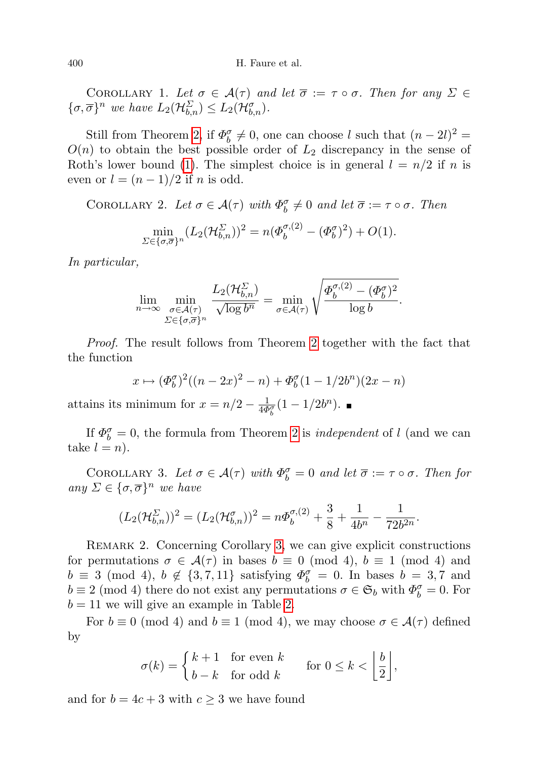COROLLARY 1. Let  $\sigma \in \mathcal{A}(\tau)$  and let  $\overline{\sigma} := \tau \circ \sigma$ . Then for any  $\Sigma \in$  $\{\sigma, \overline{\sigma}\}^n$  we have  $L_2(\mathcal{H}_{b,n}^{\Sigma}) \leq L_2(\mathcal{H}_{b,n}^{\sigma}).$ 

Still from Theorem [2,](#page-4-2) if  $\Phi_b^{\sigma} \neq 0$ , one can choose l such that  $(n-2l)^2 =$  $O(n)$  to obtain the best possible order of  $L_2$  discrepancy in the sense of Roth's lower bound [\(1\)](#page-0-0). The simplest choice is in general  $l = n/2$  if n is even or  $l = (n-1)/2$  if n is odd.

<span id="page-5-0"></span>COROLLARY 2. Let  $\sigma \in \mathcal{A}(\tau)$  with  $\Phi_b^{\sigma} \neq 0$  and let  $\overline{\sigma} := \tau \circ \sigma$ . Then  $\min_{\Sigma \in {\{\sigma, \overline{\sigma}\}}^n} (L_2(\mathcal{H}_{b,n}^{\Sigma}))^2 = n(\Phi_b^{\sigma,(2)} - (\Phi_b^{\sigma})^2) + O(1).$ 

In particular,

$$
\lim_{n \to \infty} \min_{\substack{\sigma \in \mathcal{A}(\tau) \\ \Sigma \in \{\sigma, \overline{\sigma}\}^n}} \frac{L_2(\mathcal{H}_{b,n}^{\Sigma})}{\sqrt{\log b^n}} = \min_{\sigma \in \mathcal{A}(\tau)} \sqrt{\frac{\Phi_b^{\sigma,(2)} - (\Phi_b^{\sigma})^2}{\log b}}.
$$

Proof. The result follows from Theorem [2](#page-4-2) together with the fact that the function

$$
x \mapsto (\Phi_b^{\sigma})^2((n-2x)^2 - n) + \Phi_b^{\sigma}(1 - 1/2b^n)(2x - n)
$$

attains its minimum for  $x = n/2 - \frac{1}{4\Phi_b^{\sigma}}(1 - 1/2b^n)$ .

If  $\Phi_b^{\sigma} = 0$ , the formula from Theorem [2](#page-4-2) is *independent* of l (and we can take  $l = n$ ).

<span id="page-5-1"></span>COROLLARY 3. Let  $\sigma \in \mathcal{A}(\tau)$  with  $\Phi_b^{\sigma} = 0$  and let  $\overline{\sigma} := \tau \circ \sigma$ . Then for any  $\Sigma \in {\{\sigma, \overline{\sigma}\}}^n$  we have

$$
(L_2(\mathcal{H}_{b,n}^{\Sigma}))^2 = (L_2(\mathcal{H}_{b,n}^{\sigma}))^2 = n\Phi_b^{\sigma,(2)} + \frac{3}{8} + \frac{1}{4b^n} - \frac{1}{72b^{2n}}.
$$

<span id="page-5-2"></span>REMARK 2. Concerning Corollary [3,](#page-5-1) we can give explicit constructions for permutations  $\sigma \in \mathcal{A}(\tau)$  in bases  $b \equiv 0 \pmod{4}$ ,  $b \equiv 1 \pmod{4}$  and  $b \equiv 3 \pmod{4}$ ,  $b \not\in \{3, 7, 11\}$  satisfying  $\Phi_b^{\sigma} = 0$ . In bases  $b = 3, 7$  and  $b \equiv 2 \pmod{4}$  there do not exist any permutations  $\sigma \in \mathfrak{S}_b$  with  $\Phi_b^{\sigma} = 0$ . For  $b = 11$  we will give an example in Table [2.](#page-22-10)

For  $b \equiv 0 \pmod{4}$  and  $b \equiv 1 \pmod{4}$ , we may choose  $\sigma \in \mathcal{A}(\tau)$  defined by

$$
\sigma(k) = \begin{cases} k+1 & \text{for even } k \\ b-k & \text{for odd } k \end{cases} \quad \text{for } 0 \le k < \left\lfloor \frac{b}{2} \right\rfloor,
$$

and for  $b = 4c + 3$  with  $c \geq 3$  we have found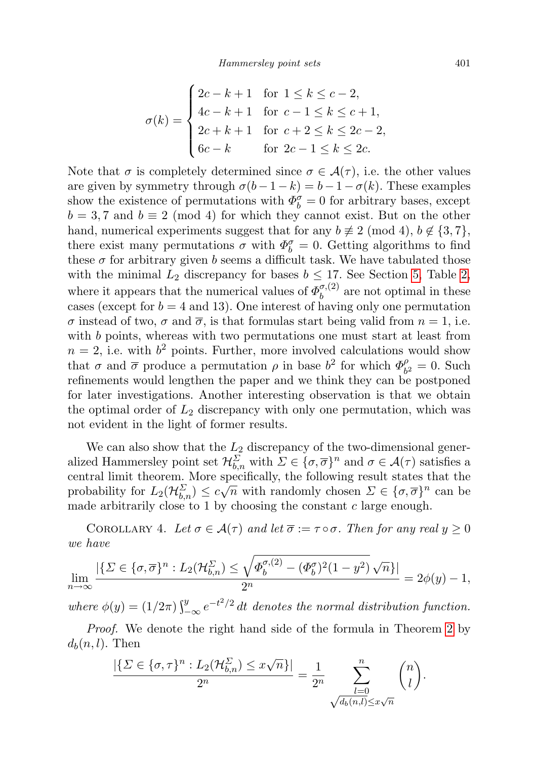$$
\sigma(k) = \begin{cases}\n2c - k + 1 & \text{for } 1 \le k \le c - 2, \\
4c - k + 1 & \text{for } c - 1 \le k \le c + 1, \\
2c + k + 1 & \text{for } c + 2 \le k \le 2c - 2, \\
6c - k & \text{for } 2c - 1 \le k \le 2c.\n\end{cases}
$$

Note that  $\sigma$  is completely determined since  $\sigma \in \mathcal{A}(\tau)$ , i.e. the other values are given by symmetry through  $\sigma(b-1-k) = b-1-\sigma(k)$ . These examples show the existence of permutations with  $\Phi_b^{\sigma} = 0$  for arbitrary bases, except  $b = 3, 7$  and  $b \equiv 2 \pmod{4}$  for which they cannot exist. But on the other hand, numerical experiments suggest that for any  $b \not\equiv 2 \pmod{4}$ ,  $b \not\in \{3, 7\}$ , there exist many permutations  $\sigma$  with  $\Phi_b^{\sigma} = 0$ . Getting algorithms to find these  $\sigma$  for arbitrary given b seems a difficult task. We have tabulated those with the minimal  $L_2$  discrepancy for bases  $b \leq 17$ . See Section [5,](#page-19-0) Table [2,](#page-22-10) where it appears that the numerical values of  $\Phi_b^{\sigma,(2)}$  $b^{o,(2)}_b$  are not optimal in these cases (except for  $b = 4$  and 13). One interest of having only one permutation σ instead of two, σ and  $\bar{\sigma}$ , is that formulas start being valid from  $n = 1$ , i.e. with b points, whereas with two permutations one must start at least from  $n = 2$ , i.e. with  $b<sup>2</sup>$  points. Further, more involved calculations would show that  $\sigma$  and  $\bar{\sigma}$  produce a permutation  $\rho$  in base  $b^2$  for which  $\Phi_h^{\rho}$  $b_2^{\rho} = 0$ . Such refinements would lengthen the paper and we think they can be postponed for later investigations. Another interesting observation is that we obtain the optimal order of  $L_2$  discrepancy with only one permutation, which was not evident in the light of former results.

We can also show that the  $L_2$  discrepancy of the two-dimensional generalized Hammersley point set  $\mathcal{H}_{b,n}^{\Sigma}$  with  $\Sigma \in {\{\sigma, \overline{\sigma}\}}^n$  and  $\sigma \in \mathcal{A}(\tau)$  satisfies a central limit theorem. More specifically, the following result states that the probability for  $L_2(\mathcal{H}_{b,n}^{\Sigma}) \leq c\sqrt{n}$  with randomly chosen  $\Sigma \in {\{\sigma, \overline{\sigma}\}}^n$  can be made arbitrarily close to 1 by choosing the constant  $c$  large enough.

COROLLARY 4. Let  $\sigma \in \mathcal{A}(\tau)$  and let  $\overline{\sigma} := \tau \circ \sigma$ . Then for any real  $y \geq 0$ we have

$$
\lim_{n\to\infty}\frac{|\{\Sigma\in\{\sigma,\overline{\sigma}\}^n:L_2(\mathcal{H}_{b,n}^{\Sigma})\leq\sqrt{\varPhi_b^{\sigma,(2)}-(\varPhi_b^{\sigma})^2(1-y^2)}\sqrt{n}\}|}{2^n}=2\phi(y)-1,
$$

where  $\phi(y) = (1/2\pi) \int_{-\infty}^{y} e^{-t^2/2} dt$  denotes the normal distribution function.

Proof. We denote the right hand side of the formula in Theorem [2](#page-4-2) by  $d_b(n, l)$ . Then

$$
\frac{|\{\Sigma \in \{\sigma, \tau\}^n : L_2(\mathcal{H}_{b,n}^{\Sigma}) \leq x\sqrt{n}\}|}{2^n} = \frac{1}{2^n} \sum_{\substack{l=0 \ \sqrt{d_b(n,l)} \leq x\sqrt{n}}} \binom{n}{l}.
$$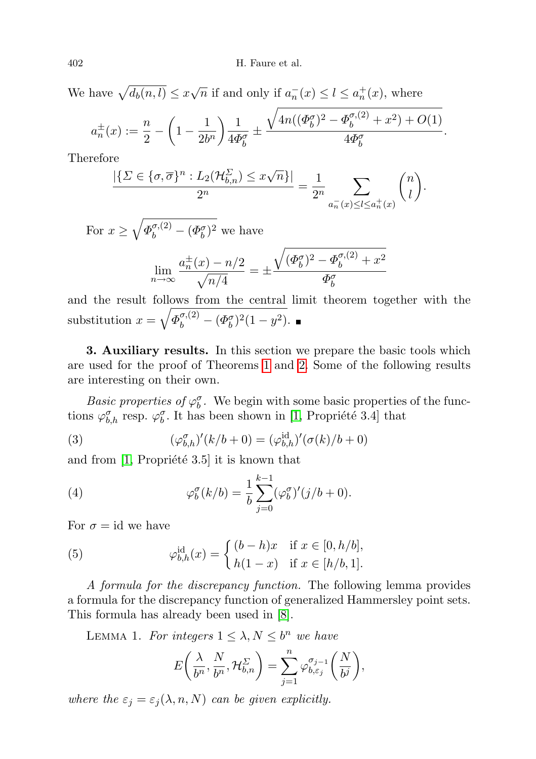We have  $\sqrt{d_b(n, l)} \leq x\sqrt{n}$  if and only if  $a_n^-(x) \leq l \leq a_n^+(x)$ , where

$$
a_n^{\pm}(x) := \frac{n}{2} - \left(1 - \frac{1}{2b^n}\right) \frac{1}{4\Phi_b^{\sigma}} \pm \frac{\sqrt{4n((\Phi_b^{\sigma})^2 - \Phi_b^{\sigma,(2)} + x^2) + O(1)}}{4\Phi_b^{\sigma}}.
$$

Therefore

$$
\frac{|\{\Sigma \in \{\sigma, \overline{\sigma}\}^n : L_2(\mathcal{H}_{b,n}^{\Sigma}) \leq x\sqrt{n}\}|}{2^n} = \frac{1}{2^n} \sum_{a_n^-(x) \leq l \leq a_n^+(x)} \binom{n}{l}.
$$

For  $x \geq \sqrt{\Phi_b^{\sigma,(2)} - (\Phi_b^{\sigma})^2}$  we have

$$
\lim_{n \to \infty} \frac{a_n^{\pm}(x) - n/2}{\sqrt{n/4}} = \pm \frac{\sqrt{(\Phi_b^{\sigma})^2 - \Phi_b^{\sigma,(2)} + x^2}}{\Phi_b^{\sigma}}
$$

and the result follows from the central limit theorem together with the substitution  $x = \sqrt{\Phi_b^{\sigma,(2)} - (\Phi_b^{\sigma})^2 (1 - y^2)}$ .

<span id="page-7-0"></span>3. Auxiliary results. In this section we prepare the basic tools which are used for the proof of Theorems [1](#page-4-1) and [2.](#page-4-2) Some of the following results are interesting on their own.

Basic properties of  $\varphi_b^{\sigma}$ . We begin with some basic properties of the functions  $\varphi_{b,h}^{\sigma}$  resp.  $\varphi_b^{\sigma}$ . It has been shown in [\[1,](#page-22-3) Propriété 3.4] that

<span id="page-7-1"></span>(3) 
$$
(\varphi_{b,h}^{\sigma})'(k/b+0) = (\varphi_{b,h}^{id})'(\sigma(k)/b+0)
$$

and from  $[1,$  Propriété 3.5 it is known that

(4) 
$$
\varphi_b^{\sigma}(k/b) = \frac{1}{b} \sum_{j=0}^{k-1} (\varphi_b^{\sigma})'(j/b+0).
$$

For  $\sigma = id$  we have

<span id="page-7-2"></span>(5) 
$$
\varphi_{b,h}^{\text{id}}(x) = \begin{cases} (b-h)x & \text{if } x \in [0, h/b], \\ h(1-x) & \text{if } x \in [h/b, 1]. \end{cases}
$$

A formula for the discrepancy function. The following lemma provides a formula for the discrepancy function of generalized Hammersley point sets. This formula has already been used in [\[8\]](#page-22-7).

<span id="page-7-3"></span>LEMMA 1. For integers  $1 \leq \lambda, N \leq b^n$  we have

$$
E\bigg(\frac{\lambda}{b^n}, \frac{N}{b^n}, \mathcal{H}_{b,n}^{\Sigma}\bigg) = \sum_{j=1}^n \varphi_{b,\varepsilon_j}^{\sigma_{j-1}}\bigg(\frac{N}{b^j}\bigg),
$$

where the  $\varepsilon_j = \varepsilon_j(\lambda, n, N)$  can be given explicitly.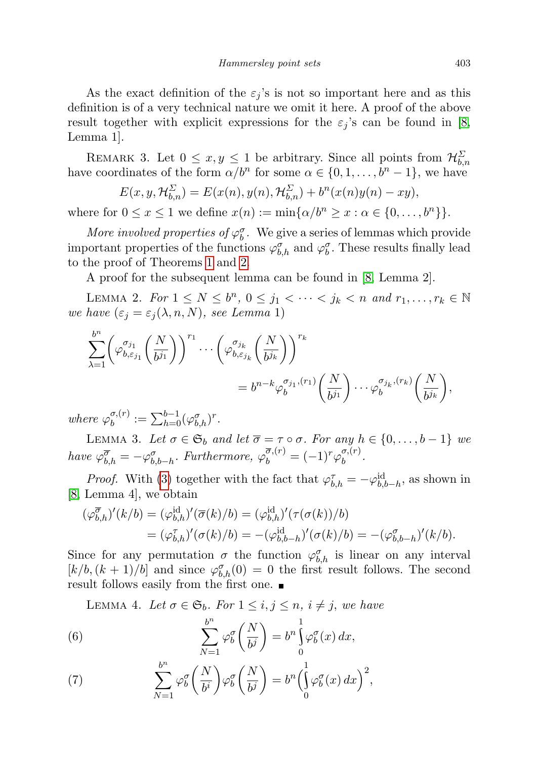As the exact definition of the  $\varepsilon_i$ 's is not so important here and as this definition is of a very technical nature we omit it here. A proof of the above result together with explicit expressions for the  $\varepsilon_j$ 's can be found in [\[8,](#page-22-7) Lemma 1].

REMARK 3. Let  $0 \le x, y \le 1$  be arbitrary. Since all points from  $\mathcal{H}_{b,n}^{\Sigma}$ have coordinates of the form  $\alpha/b^n$  for some  $\alpha \in \{0, 1, \ldots, b^n - 1\}$ , we have

$$
E(x, y, \mathcal{H}_{b,n}^{\Sigma}) = E(x(n), y(n), \mathcal{H}_{b,n}^{\Sigma}) + b^{n}(x(n)y(n) - xy),
$$

where for  $0 \le x \le 1$  we define  $x(n) := \min\{\alpha/b^n \ge x : \alpha \in \{0, \ldots, b^n\}\}.$ 

More involved properties of  $\varphi_b^{\sigma}$ . We give a series of lemmas which provide important properties of the functions  $\varphi_{b,h}^{\sigma}$  and  $\varphi_b^{\sigma}$ . These results finally lead to the proof of Theorems [1](#page-4-1) and [2.](#page-4-2)

A proof for the subsequent lemma can be found in [\[8,](#page-22-7) Lemma 2].

<span id="page-8-2"></span>LEMMA 2. For  $1 \leq N \leq b^n$ ,  $0 \leq j_1 < \cdots < j_k < n$  and  $r_1, \ldots, r_k \in \mathbb{N}$ we have  $(\varepsilon_j = \varepsilon_j(\lambda, n, N),$  see Lemma 1)

$$
\sum_{\lambda=1}^{b^n} \left( \varphi_{b,\varepsilon_{j_1}}^{\sigma_{j_1}} \left( \frac{N}{b^{j_1}} \right) \right)^{r_1} \cdots \left( \varphi_{b,\varepsilon_{j_k}}^{\sigma_{j_k}} \left( \frac{N}{b^{j_k}} \right) \right)^{r_k}
$$
\n
$$
= b^{n-k} \varphi_b^{\sigma_{j_1},(r_1)} \left( \frac{N}{b^{j_1}} \right) \cdots \varphi_b^{\sigma_{j_k},(r_k)} \left( \frac{N}{b^{j_k}} \right),
$$

where  $\varphi_h^{\sigma,(r)}$  $\sigma^{(\mathit{r})}_b := \sum_{h=0}^{b-1} (\varphi^{\sigma}_{b,h})^r.$ 

<span id="page-8-1"></span>LEMMA 3. Let  $\sigma \in \mathfrak{S}_b$  and let  $\overline{\sigma} = \tau \circ \sigma$ . For any  $h \in \{0, \ldots, b-1\}$  we have  $\varphi_{b,h}^{\overline{\sigma}} = -\varphi_{b,b-h}^{\sigma}$ . Furthermore,  $\varphi_b^{\overline{\sigma},(r)} = (-1)^r \varphi_b^{\sigma,(r)}$  $\stackrel{o}{b}$ .

*Proof.* With [\(3\)](#page-7-1) together with the fact that  $\varphi_{b,h}^{\tau} = -\varphi_{b,b-h}^{id}$ , as shown in [\[8,](#page-22-7) Lemma 4], we obtain

$$
\begin{aligned} (\varphi_{b,h}^{\overline{\sigma}})'(k/b) &= (\varphi_{b,h}^{\text{id}})'(\overline{\sigma}(k)/b) = (\varphi_{b,h}^{\text{id}})'(\tau(\sigma(k))/b) \\ &= (\varphi_{b,h}^{\tau})'(\sigma(k)/b) = -(\varphi_{b,b-h}^{\text{id}})'(\sigma(k)/b) = -(\varphi_{b,b-h}^{\sigma})'(k/b). \end{aligned}
$$

Since for any permutation  $\sigma$  the function  $\varphi_{b,h}^{\sigma}$  is linear on any interval  $[k/b,(k+1)/b]$  and since  $\varphi_{b,h}^{\sigma}(0) = 0$  the first result follows. The second result follows easily from the first one.

<span id="page-8-0"></span>LEMMA 4. Let  $\sigma \in \mathfrak{S}_b$ . For  $1 \leq i, j \leq n, i \neq j$ , we have

(6) 
$$
\sum_{N=1}^{b^{n}} \varphi_{b}^{\sigma} \left( \frac{N}{b^{j}} \right) = b^{n} \int_{0}^{1} \varphi_{b}^{\sigma}(x) dx,
$$

(7) 
$$
\sum_{N=1}^{b^n} \varphi_b^{\sigma} \left( \frac{N}{b^i} \right) \varphi_b^{\sigma} \left( \frac{N}{b^j} \right) = b^n \left( \int_0^1 \varphi_b^{\sigma}(x) dx \right)^2,
$$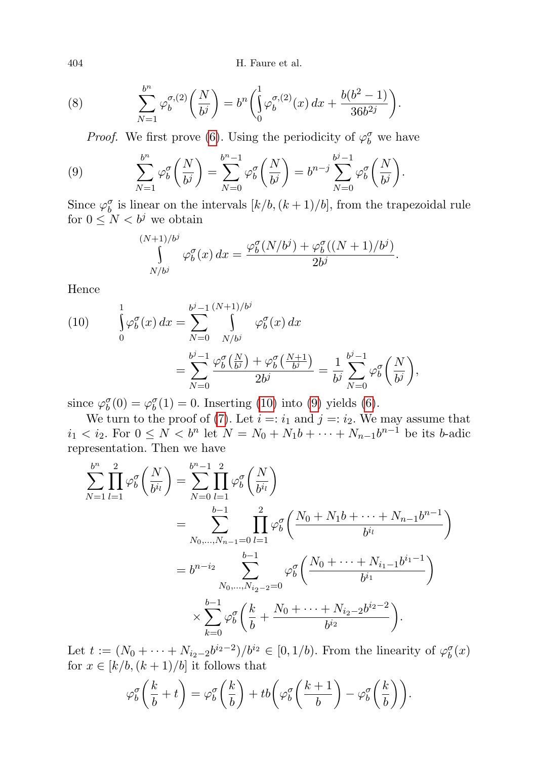404 H. Faure et al.

(8) 
$$
\sum_{N=1}^{b^n} \varphi_b^{\sigma,(2)}\left(\frac{N}{b^j}\right) = b^n \left(\int_0^1 \varphi_b^{\sigma,(2)}(x) dx + \frac{b(b^2-1)}{36b^{2j}}\right).
$$

<span id="page-9-0"></span>*Proof.* We first prove [\(6\)](#page-8-0). Using the periodicity of  $\varphi_b^{\sigma}$  we have

(9) 
$$
\sum_{N=1}^{b^n} \varphi_b^{\sigma} \left( \frac{N}{b^j} \right) = \sum_{N=0}^{b^n - 1} \varphi_b^{\sigma} \left( \frac{N}{b^j} \right) = b^{n-j} \sum_{N=0}^{b^j - 1} \varphi_b^{\sigma} \left( \frac{N}{b^j} \right).
$$

Since  $\varphi_b^{\sigma}$  is linear on the intervals  $[k/b, (k+1)/b]$ , from the trapezoidal rule for  $0 \leq N < b^j$  we obtain

$$
\int_{N/b^j}^{(N+1)/b^j} \varphi_b^{\sigma}(x) dx = \frac{\varphi_b^{\sigma}(N/b^j) + \varphi_b^{\sigma}((N+1)/b^j)}{2b^j}.
$$

Hence

(10) 
$$
\int_{0}^{1} \varphi_{b}^{\sigma}(x) dx = \sum_{N=0}^{b^{j}-1} \int_{N/b^{j}}^{\left(N+1\right)/b^{j}} \varphi_{b}^{\sigma}(x) dx \n= \sum_{N=0}^{b^{j}-1} \frac{\varphi_{b}^{\sigma}\left(\frac{N}{b^{j}}\right) + \varphi_{b}^{\sigma}\left(\frac{N+1}{b^{j}}\right)}{2b^{j}} = \frac{1}{b^{j}} \sum_{N=0}^{b^{j}-1} \varphi_{b}^{\sigma}\left(\frac{N}{b^{j}}\right),
$$

since  $\varphi_b^{\sigma}(0) = \varphi_b^{\sigma}(1) = 0$ . Inserting [\(10\)](#page-9-0) into [\(9\)](#page-9-0) yields [\(6\)](#page-8-0).

We turn to the proof of [\(7\)](#page-8-0). Let  $i =: i_1$  and  $j =: i_2$ . We may assume that  $i_1 < i_2$ . For  $0 \le N < b^n$  let  $N = N_0 + N_1b + \cdots + N_{n-1}b^{n-1}$  be its b-adic representation. Then we have

$$
\sum_{N=1}^{b^{n}} \prod_{l=1}^{2} \varphi_{b}^{\sigma} \left( \frac{N}{b^{i_{l}}} \right) = \sum_{N=0}^{b^{n}-1} \prod_{l=1}^{2} \varphi_{b}^{\sigma} \left( \frac{N}{b^{i_{l}}} \right)
$$
  
= 
$$
\sum_{N_{0},...,N_{n-1}=0}^{b-1} \prod_{l=1}^{2} \varphi_{b}^{\sigma} \left( \frac{N_{0} + N_{1}b + \dots + N_{n-1}b^{n-1}}{b^{i_{l}}} \right)
$$
  
= 
$$
b^{n-i_{2}} \sum_{N_{0},...,N_{i_{2}-2}=0}^{b-1} \varphi_{b}^{\sigma} \left( \frac{N_{0} + \dots + N_{i_{1}-1}b^{i_{1}-1}}{b^{i_{1}}} \right)
$$
  

$$
\times \sum_{k=0}^{b-1} \varphi_{b}^{\sigma} \left( \frac{k}{b} + \frac{N_{0} + \dots + N_{i_{2}-2}b^{i_{2}-2}}{b^{i_{2}}} \right).
$$

Let  $t := (N_0 + \cdots + N_{i_2-2}b^{i_2-2})/b^{i_2} \in [0,1/b)$ . From the linearity of  $\varphi_b^{\sigma}(x)$ for  $x \in [k/b, (k+1)/b]$  it follows that

$$
\varphi_b^{\sigma}\left(\frac{k}{b}+t\right) = \varphi_b^{\sigma}\left(\frac{k}{b}\right) + tb\left(\varphi_b^{\sigma}\left(\frac{k+1}{b}\right) - \varphi_b^{\sigma}\left(\frac{k}{b}\right)\right).
$$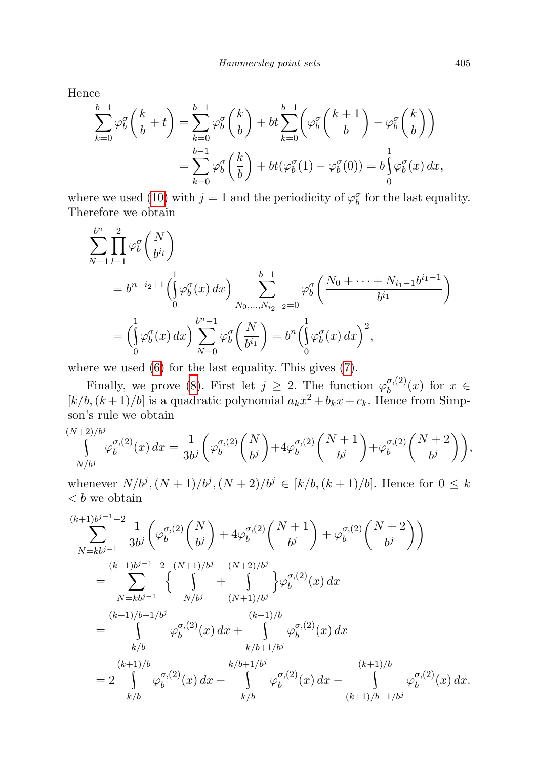Hence

$$
\sum_{k=0}^{b-1} \varphi_b^{\sigma} \left( \frac{k}{b} + t \right) = \sum_{k=0}^{b-1} \varphi_b^{\sigma} \left( \frac{k}{b} \right) + bt \sum_{k=0}^{b-1} \left( \varphi_b^{\sigma} \left( \frac{k+1}{b} \right) - \varphi_b^{\sigma} \left( \frac{k}{b} \right) \right)
$$

$$
= \sum_{k=0}^{b-1} \varphi_b^{\sigma} \left( \frac{k}{b} \right) + bt \left( \varphi_b^{\sigma} (1) - \varphi_b^{\sigma} (0) \right) = b \int_0^1 \varphi_b^{\sigma} (x) dx,
$$

where we used [\(10\)](#page-9-0) with  $j = 1$  and the periodicity of  $\varphi_b^{\sigma}$  for the last equality. Therefore we obtain

$$
\sum_{N=1}^{b^{n}} \prod_{l=1}^{2} \varphi_{b}^{\sigma} \left( \frac{N}{b^{i_{l}}} \right)
$$
\n
$$
= b^{n-i_{2}+1} \left( \int_{0}^{1} \varphi_{b}^{\sigma}(x) dx \right) \sum_{N_{0},...,N_{i_{2}-2}=0}^{b-1} \varphi_{b}^{\sigma} \left( \frac{N_{0} + \dots + N_{i_{1}-1}b^{i_{1}-1}}{b^{i_{1}}} \right)
$$
\n
$$
= \left( \int_{0}^{1} \varphi_{b}^{\sigma}(x) dx \right) \sum_{N=0}^{b^{n}-1} \varphi_{b}^{\sigma} \left( \frac{N}{b^{i_{1}}} \right) = b^{n} \left( \int_{0}^{1} \varphi_{b}^{\sigma}(x) dx \right)^{2},
$$

where we used [\(6\)](#page-8-0) for the last equality. This gives [\(7\)](#page-8-0).

Finally, we prove [\(8\)](#page-8-0). First let  $j \geq 2$ . The function  $\varphi_h^{\sigma,(2)}$  $b^{o,(2)}(x)$  for  $x \in$  $[k/b, (k+1)/b]$  is a quadratic polynomial  $a_kx^2 + b_kx + c_k$ . Hence from Simpson's rule we obtain

$$
\int_{N/b^j}^{(N+2)/b^j} \varphi_b^{\sigma,(2)}(x) dx = \frac{1}{3b^j} \left( \varphi_b^{\sigma,(2)} \left( \frac{N}{b^j} \right) + 4 \varphi_b^{\sigma,(2)} \left( \frac{N+1}{b^j} \right) + \varphi_b^{\sigma,(2)} \left( \frac{N+2}{b^j} \right) \right),
$$

whenever  $N/b^j$ ,  $(N + 1)/b^j$ ,  $(N + 2)/b^j \in [k/b, (k + 1)/b]$ . Hence for  $0 \leq k$  **we obtain** 

$$
\sum_{N=kbj-1}^{(k+1)bj-1-2} \frac{1}{3b^j} \left( \varphi_b^{\sigma,(2)} \left( \frac{N}{b^j} \right) + 4 \varphi_b^{\sigma,(2)} \left( \frac{N+1}{b^j} \right) + \varphi_b^{\sigma,(2)} \left( \frac{N+2}{b^j} \right) \right)
$$
  
\n
$$
= \sum_{N=kbj-1}^{(k+1)bj-1-2} \left\{ \int_{N/bj}^{(N+1)/b^j} \frac{(N+2)/b^j}{(N+1)/b^j} \right\} \varphi_b^{\sigma,(2)}(x) dx
$$
  
\n
$$
= \int_{k/b}^{(k+1)/b-1/bj} \varphi_b^{\sigma,(2)}(x) dx + \int_{k/b+1/bj}^{(k+1)/b} \varphi_b^{\sigma,(2)}(x) dx
$$
  
\n
$$
= 2 \int_{k/b}^{(k+1)/b} \varphi_b^{\sigma,(2)}(x) dx - \int_{k/b}^{k/b+1/bj} \varphi_b^{\sigma,(2)}(x) dx - \int_{k/b}^{(k+1)/b-1/bj} \varphi_b^{\sigma,(2)}(x) dx.
$$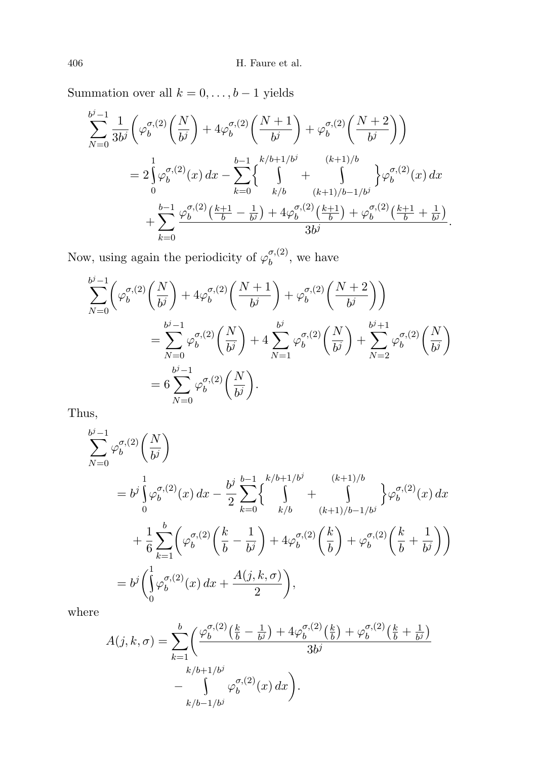Summation over all  $k = 0, \ldots, b - 1$  yields

$$
\sum_{N=0}^{b^{j}-1} \frac{1}{3b^{j}} \left( \varphi_{b}^{\sigma,(2)} \left( \frac{N}{b^{j}} \right) + 4 \varphi_{b}^{\sigma,(2)} \left( \frac{N+1}{b^{j}} \right) + \varphi_{b}^{\sigma,(2)} \left( \frac{N+2}{b^{j}} \right) \right)
$$
  
=  $2 \int_{0}^{1} \varphi_{b}^{\sigma,(2)}(x) dx - \sum_{k=0}^{b-1} \left\{ \int_{k/b}^{k/b+1/b^{j}} \frac{(k+1)/b}{(k+1)/b-1/b^{j}} \right\} \varphi_{b}^{\sigma,(2)}(x) dx$   
+  $\sum_{k=0}^{b-1} \frac{\varphi_{b}^{\sigma,(2)} \left( \frac{k+1}{b} - \frac{1}{b^{j}} \right) + 4 \varphi_{b}^{\sigma,(2)} \left( \frac{k+1}{b} \right) + \varphi_{b}^{\sigma,(2)} \left( \frac{k+1}{b} + \frac{1}{b^{j}} \right)}{3b^{j}}.$ 

Now, using again the periodicity of  $\varphi_h^{\sigma,(2)}$  $b^{o,(2)}$ , we have

$$
\sum_{N=0}^{b^{j}-1} \left( \varphi_{b}^{\sigma,(2)} \left( \frac{N}{b^{j}} \right) + 4 \varphi_{b}^{\sigma,(2)} \left( \frac{N+1}{b^{j}} \right) + \varphi_{b}^{\sigma,(2)} \left( \frac{N+2}{b^{j}} \right) \right)
$$
\n
$$
= \sum_{N=0}^{b^{j}-1} \varphi_{b}^{\sigma,(2)} \left( \frac{N}{b^{j}} \right) + 4 \sum_{N=1}^{b^{j}} \varphi_{b}^{\sigma,(2)} \left( \frac{N}{b^{j}} \right) + \sum_{N=2}^{b^{j}+1} \varphi_{b}^{\sigma,(2)} \left( \frac{N}{b^{j}} \right)
$$
\n
$$
= 6 \sum_{N=0}^{b^{j}-1} \varphi_{b}^{\sigma,(2)} \left( \frac{N}{b^{j}} \right).
$$

Thus,

$$
\sum_{N=0}^{b^{j}-1} \varphi_{b}^{\sigma,(2)} \left(\frac{N}{b^{j}}\right)
$$
\n
$$
= b^{j} \int_{0}^{1} \varphi_{b}^{\sigma,(2)}(x) dx - \frac{b^{j}}{2} \sum_{k=0}^{b-1} \left\{ \int_{k/b}^{k/b+1/b^{j}} \frac{(k+1)/b}{(k+1)/b-1/b^{j}} \right\} \varphi_{b}^{\sigma,(2)}(x) dx
$$
\n
$$
+ \frac{1}{6} \sum_{k=1}^{b} \left( \varphi_{b}^{\sigma,(2)} \left(\frac{k}{b} - \frac{1}{b^{j}}\right) + 4 \varphi_{b}^{\sigma,(2)} \left(\frac{k}{b}\right) + \varphi_{b}^{\sigma,(2)} \left(\frac{k}{b} + \frac{1}{b^{j}}\right) \right)
$$
\n
$$
= b^{j} \left( \int_{0}^{1} \varphi_{b}^{\sigma,(2)}(x) dx + \frac{A(j,k,\sigma)}{2} \right),
$$

where

$$
A(j,k,\sigma) = \sum_{k=1}^{b} \left( \frac{\varphi_b^{\sigma,(2)}(\frac{k}{b} - \frac{1}{b^{j}}) + 4\varphi_b^{\sigma,(2)}(\frac{k}{b}) + \varphi_b^{\sigma,(2)}(\frac{k}{b} + \frac{1}{b^{j}})}{3b^{j}} - \int_{k/b-1/b^{j}}^{k/b+1/b^{j}} \varphi_b^{\sigma,(2)}(x) dx \right).
$$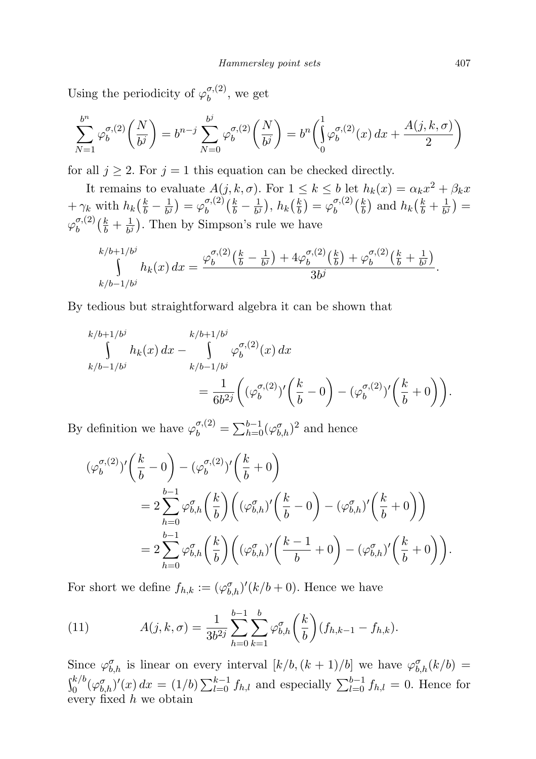Using the periodicity of  $\varphi^{\sigma,(2)}_h$  $b^{o,(2)}$ , we get

$$
\sum_{N=1}^{b^n} \varphi_b^{\sigma,(2)}\left(\frac{N}{b^j}\right) = b^{n-j} \sum_{N=0}^{b^j} \varphi_b^{\sigma,(2)}\left(\frac{N}{b^j}\right) = b^n \left(\int_0^1 \varphi_b^{\sigma,(2)}(x) \, dx + \frac{A(j,k,\sigma)}{2}\right)
$$

for all  $j \geq 2$ . For  $j = 1$  this equation can be checked directly.

It remains to evaluate  $A(j, k, \sigma)$ . For  $1 \leq k \leq b$  let  $h_k(x) = \alpha_k x^2 + \beta_k x$ +  $\gamma_k$  with  $h_k\left(\frac{k}{b} - \frac{1}{b^j}\right)$  $\frac{1}{b^j}\big) = \varphi^{\sigma,(2)}_b$  $\frac{\sigma,(2)}{b}\Big(\frac{k}{b}-\frac{1}{b^2}\Big)$  $\frac{1}{b^j}$ ),  $h_k(\frac{k}{b})$  $\left(\frac{k}{b}\right) = \varphi^{\sigma,(2)}_b$  $\binom{\sigma,(2)}{b}$   $\left(\frac{k}{b}\right)$  $\frac{k}{b}$ ) and  $h_k(\frac{k}{b} + \frac{1}{b})$  $\frac{1}{b^j}\big) =$  $\varphi^{\sigma,(2)}_b$  $\binom{\sigma,(2)}{b}$   $\left(\frac{k}{b}+\frac{1}{b^2}\right)$  $\frac{1}{b^j}$ ). Then by Simpson's rule we have

$$
\int_{k/b-1/b^j}^{k/b+1/b^j} h_k(x) dx = \frac{\varphi_b^{\sigma,(2)}(\frac{k}{b} - \frac{1}{b^j}) + 4\varphi_b^{\sigma,(2)}(\frac{k}{b}) + \varphi_b^{\sigma,(2)}(\frac{k}{b} + \frac{1}{b^j})}{3b^j}.
$$

By tedious but straightforward algebra it can be shown that

$$
k/b+1/b^{j}
$$
\n
$$
\int_{k/b-1/b^{j}}^{k/b+1/b^{j}} h_{k}(x) dx - \int_{k/b-1/b^{j}}^{k/b+1/b^{j}} \varphi_{b}^{\sigma,(2)}(x) dx
$$
\n
$$
= \frac{1}{6b^{2j}} \left( (\varphi_{b}^{\sigma,(2)})' \left( \frac{k}{b} - 0 \right) - (\varphi_{b}^{\sigma,(2)})' \left( \frac{k}{b} + 0 \right) \right).
$$

By definition we have  $\varphi_b^{\sigma,(2)} = \sum_{h=0}^{b-1} (\varphi_{b,h}^{\sigma})^2$  and hence

$$
\begin{split} (\varphi_b^{\sigma,(2)})' & \left(\frac{k}{b}-0\right)-(\varphi_b^{\sigma,(2)})'\left(\frac{k}{b}+0\right) \\ &=2\sum_{h=0}^{b-1}\varphi_{b,h}^{\sigma}\left(\frac{k}{b}\right)\left((\varphi_{b,h}^{\sigma})'\left(\frac{k}{b}-0\right)-(\varphi_{b,h}^{\sigma})'\left(\frac{k}{b}+0\right)\right) \\ &=2\sum_{h=0}^{b-1}\varphi_{b,h}^{\sigma}\left(\frac{k}{b}\right)\left((\varphi_{b,h}^{\sigma})'\left(\frac{k-1}{b}+0\right)-(\varphi_{b,h}^{\sigma})'\left(\frac{k}{b}+0\right)\right). \end{split}
$$

For short we define  $f_{h,k} := (\varphi_{b,h}^{\sigma})'(k/b + 0)$ . Hence we have

<span id="page-12-0"></span>(11) 
$$
A(j,k,\sigma) = \frac{1}{3b^{2j}} \sum_{h=0}^{b-1} \sum_{k=1}^{b} \varphi_{b,h}^{\sigma} \left(\frac{k}{b}\right) (f_{h,k-1} - f_{h,k}).
$$

Since  $\varphi_{b,h}^{\sigma}$  is linear on every interval  $[k/b, (k+1)/b]$  we have  $\varphi_{b,h}^{\sigma}(k/b)$  $\int_0^{k/b} (\varphi_{b,h}^{\sigma})'(x) dx = (1/b) \sum_{l=0}^{k-1} f_{h,l}$  and especially  $\sum_{l=0}^{b-1} f_{h,l} = 0$ . Hence for every fixed  $h$  we obtain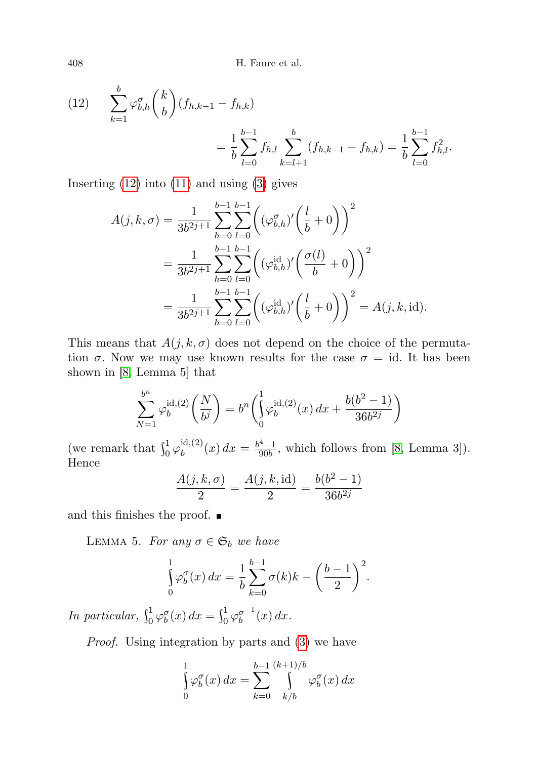<span id="page-13-0"></span>(12) 
$$
\sum_{k=1}^{b} \varphi_{b,h}^{\sigma}\left(\frac{k}{b}\right) (f_{h,k-1} - f_{h,k})
$$

$$
= \frac{1}{b} \sum_{l=0}^{b-1} f_{h,l} \sum_{k=l+1}^{b} (f_{h,k-1} - f_{h,k}) = \frac{1}{b} \sum_{l=0}^{b-1} f_{h,l}^2.
$$

Inserting  $(12)$  into  $(11)$  and using  $(3)$  gives

$$
A(j,k,\sigma) = \frac{1}{3b^{2j+1}} \sum_{h=0}^{b-1} \sum_{l=0}^{b-1} \left( (\varphi_{b,h}^{\sigma})' \left( \frac{l}{b} + 0 \right) \right)^2
$$
  
= 
$$
\frac{1}{3b^{2j+1}} \sum_{h=0}^{b-1} \sum_{l=0}^{b-1} \left( (\varphi_{b,h}^{id})' \left( \frac{\sigma(l)}{b} + 0 \right) \right)^2
$$
  
= 
$$
\frac{1}{3b^{2j+1}} \sum_{h=0}^{b-1} \sum_{l=0}^{b-1} \left( (\varphi_{b,h}^{id})' \left( \frac{l}{b} + 0 \right) \right)^2 = A(j,k, id).
$$

This means that  $A(j, k, \sigma)$  does not depend on the choice of the permutation  $\sigma$ . Now we may use known results for the case  $\sigma = id$ . It has been shown in [\[8,](#page-22-7) Lemma 5] that

$$
\sum_{N=1}^{b^n} \varphi_b^{\text{id},(2)}\left(\frac{N}{b^j}\right) = b^n \left(\int_0^1 \varphi_b^{\text{id},(2)}(x) \, dx + \frac{b(b^2 - 1)}{36b^{2j}}\right)
$$

(we remark that  $\int_0^1 \varphi_b^{\text{id},(2)}$  $b^{id,(2)}(x) dx = \frac{b^4-1}{90b}$  $\frac{1}{90b}$ , which follows from [\[8,](#page-22-7) Lemma 3]). Hence

$$
\frac{A(j,k,\sigma)}{2} = \frac{A(j,k,\mathrm{id})}{2} = \frac{b(b^2-1)}{36b^{2j}}
$$

and this finishes the proof.

<span id="page-13-1"></span>LEMMA 5. For any  $\sigma \in \mathfrak{S}_b$  we have

$$
\int_{0}^{1} \varphi_{b}^{\sigma}(x) dx = \frac{1}{b} \sum_{k=0}^{b-1} \sigma(k)k - \left(\frac{b-1}{2}\right)^{2}.
$$

In particular,  $\int_0^1 \varphi_b^{\sigma}(x) dx = \int_0^1 \varphi_b^{\sigma^{-1}}(x) dx$ .

Proof. Using integration by parts and [\(3\)](#page-7-1) we have

$$
\int_{0}^{1} \varphi_b^{\sigma}(x) dx = \sum_{k=0}^{b-1} \int_{k/b}^{(k+1)/b} \varphi_b^{\sigma}(x) dx
$$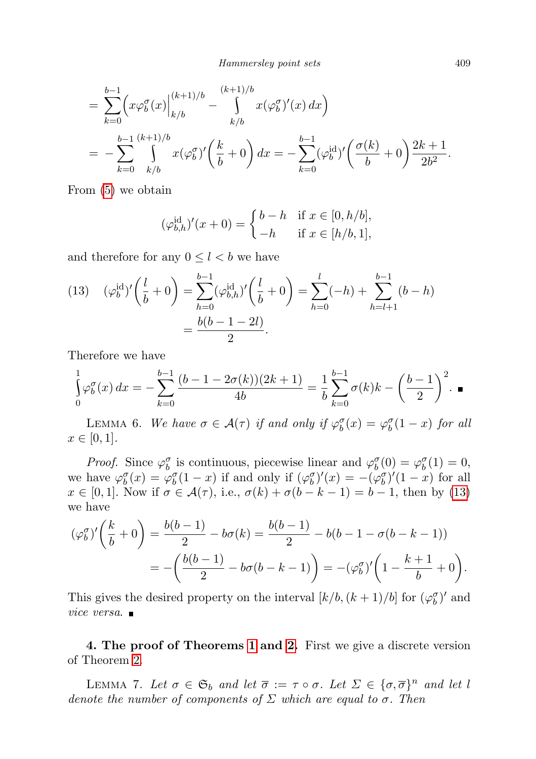Hammersley point sets 409

$$
= \sum_{k=0}^{b-1} \left( x \varphi_b^{\sigma}(x) \Big|_{k/b}^{(k+1)/b} - \int_{k/b}^{(k+1)/b} x (\varphi_b^{\sigma})'(x) dx \right)
$$
  
= 
$$
- \sum_{k=0}^{b-1} \int_{k/b}^{(k+1)/b} x (\varphi_b^{\sigma})' \left( \frac{k}{b} + 0 \right) dx = - \sum_{k=0}^{b-1} (\varphi_b^{\text{id}})' \left( \frac{\sigma(k)}{b} + 0 \right) \frac{2k+1}{2b^2}.
$$

From [\(5\)](#page-7-2) we obtain

<span id="page-14-1"></span>
$$
(\varphi_{b,h}^{\text{id}})'(x+0) = \begin{cases} b-h & \text{if } x \in [0,h/b], \\ -h & \text{if } x \in [h/b,1], \end{cases}
$$

and therefore for any  $0 \leq l < b$  we have

(13) 
$$
(\varphi_b^{\text{id}})' \left( \frac{l}{b} + 0 \right) = \sum_{h=0}^{b-1} (\varphi_{b,h}^{\text{id}})' \left( \frac{l}{b} + 0 \right) = \sum_{h=0}^{l} (-h) + \sum_{h=l+1}^{b-1} (b-h)
$$

$$
= \frac{b(b-1-2l)}{2}.
$$

Therefore we have

$$
\int_{0}^{1} \varphi_b^{\sigma}(x) dx = -\sum_{k=0}^{b-1} \frac{(b-1-2\sigma(k))(2k+1)}{4b} = \frac{1}{b} \sum_{k=0}^{b-1} \sigma(k)k - \left(\frac{b-1}{2}\right)^2.
$$

<span id="page-14-3"></span>LEMMA 6. We have  $\sigma \in \mathcal{A}(\tau)$  if and only if  $\varphi_b^{\sigma}(x) = \varphi_b^{\sigma}(1-x)$  for all  $x \in [0, 1].$ 

*Proof.* Since  $\varphi_b^{\sigma}$  is continuous, piecewise linear and  $\varphi_b^{\sigma}(0) = \varphi_b^{\sigma}(1) = 0$ , we have  $\varphi_b^{\sigma}(x) = \varphi_b^{\sigma}(1-x)$  if and only if  $(\varphi_b^{\sigma})'(x) = -(\varphi_b^{\sigma})'(1-x)$  for all  $x \in [0,1]$ . Now if  $\sigma \in \mathcal{A}(\tau)$ , i.e.,  $\sigma(k) + \sigma(b-k-1) = b-1$ , then by [\(13\)](#page-14-1) we have

$$
(\varphi_b^{\sigma})'\left(\frac{k}{b}+0\right) = \frac{b(b-1)}{2} - b\sigma(k) = \frac{b(b-1)}{2} - b(b-1 - \sigma(b-k-1))
$$
  
= 
$$
-\left(\frac{b(b-1)}{2} - b\sigma(b-k-1)\right) = -(\varphi_b^{\sigma})'\left(1 - \frac{k+1}{b} + 0\right).
$$

This gives the desired property on the interval  $[k/b, (k+1)/b]$  for  $(\varphi_b^{\sigma})'$  and vice versa.

<span id="page-14-0"></span>4. The proof of Theorems [1](#page-4-1) and [2.](#page-4-2) First we give a discrete version of Theorem [2.](#page-4-2)

<span id="page-14-2"></span>LEMMA 7. Let  $\sigma \in \mathfrak{S}_b$  and let  $\overline{\sigma} := \tau \circ \sigma$ . Let  $\Sigma \in {\{\sigma, \overline{\sigma}\}}^n$  and let l denote the number of components of  $\Sigma$  which are equal to  $\sigma$ . Then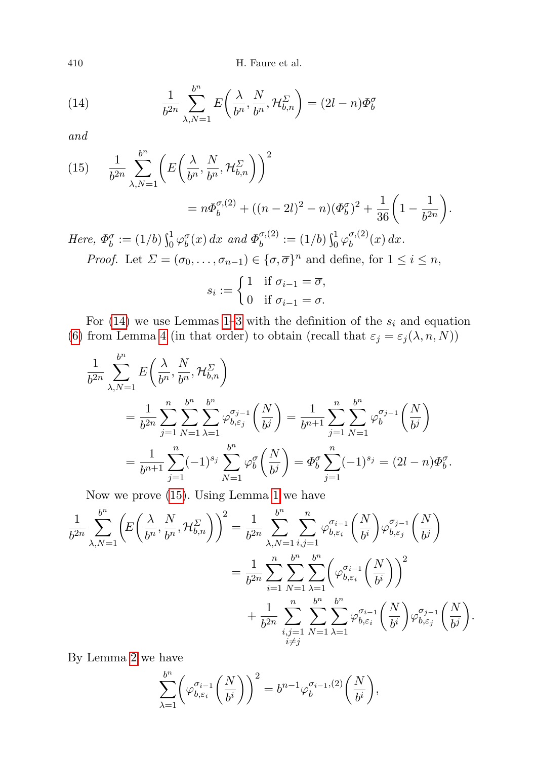410 H. Faure et al.

<span id="page-15-0"></span>(14) 
$$
\frac{1}{b^{2n}} \sum_{\lambda, N=1}^{b^n} E\left(\frac{\lambda}{b^n}, \frac{N}{b^n}, \mathcal{H}_{b,n}^{\Sigma}\right) = (2l - n)\Phi_b^{\sigma}
$$

and

<span id="page-15-1"></span>(15) 
$$
\frac{1}{b^{2n}} \sum_{\lambda,N=1}^{b^n} \left( E\left(\frac{\lambda}{b^n}, \frac{N}{b^n}, \mathcal{H}_{b,n}^{\Sigma}\right) \right)^2
$$

$$
= n\Phi_b^{\sigma,(2)} + ((n-2l)^2 - n)(\Phi_b^{\sigma})^2 + \frac{1}{36} \left(1 - \frac{1}{b^{2n}}\right).
$$
  
Here,  $\Phi_b^{\sigma} := (1/b) \int_0^1 \varphi_b^{\sigma}(x) dx$  and  $\Phi_b^{\sigma,(2)} := (1/b) \int_0^1 \varphi_b^{\sigma,(2)}(x) dx$ .  
*Proof.* Let  $\Sigma = (\sigma_0, \dots, \sigma_{n-1}) \in \{\sigma, \overline{\sigma}\}^n$  and define, for  $1 \le i \le n$ ,  
 $s_i := \begin{cases} 1 & \text{if } \sigma_{i-1} = \overline{\sigma}, \\ 0 & \text{if } \sigma_{i-1} = \overline{\sigma}, \end{cases}$ 

For  $(14)$  we use Lemmas [1](#page-7-3)[–3](#page-8-1) with the definition of the  $s_i$  and equation [\(6\)](#page-8-0) from Lemma [4](#page-8-0) (in that order) to obtain (recall that  $\varepsilon_j = \varepsilon_j(\lambda, n, N)$ )

0 if  $\sigma_{i-1} = \sigma$ .

$$
\frac{1}{b^{2n}} \sum_{\lambda,N=1}^{b^n} E\left(\frac{\lambda}{b^n}, \frac{N}{b^n}, \mathcal{H}_{b,n}^{\Sigma}\right)
$$
\n
$$
= \frac{1}{b^{2n}} \sum_{j=1}^n \sum_{N=1}^b \sum_{\lambda=1}^{b^n} \varphi_{b,\varepsilon_j}^{\sigma_{j-1}} \left(\frac{N}{b^j}\right) = \frac{1}{b^{n+1}} \sum_{j=1}^n \sum_{N=1}^{b^n} \varphi_b^{\sigma_{j-1}} \left(\frac{N}{b^j}\right)
$$
\n
$$
= \frac{1}{b^{n+1}} \sum_{j=1}^n (-1)^{s_j} \sum_{N=1}^{b^n} \varphi_b^{\sigma} \left(\frac{N}{b^j}\right) = \Phi_b^{\sigma} \sum_{j=1}^n (-1)^{s_j} = (2l - n)\Phi_b^{\sigma}.
$$

Now we prove [\(15\)](#page-15-1). Using Lemma [1](#page-7-3) we have

$$
\frac{1}{b^{2n}}\sum_{\lambda,N=1}^{b^n} \left( E\left(\frac{\lambda}{b^n}, \frac{N}{b^n}, \mathcal{H}_{b,n}^{\Sigma}\right) \right)^2 = \frac{1}{b^{2n}}\sum_{\lambda,N=1}^{b^n} \sum_{i,j=1}^n \varphi_{b,\varepsilon_i}^{\sigma_{i-1}} \left(\frac{N}{b^i}\right) \varphi_{b,\varepsilon_j}^{\sigma_{j-1}} \left(\frac{N}{b^j}\right)
$$

$$
= \frac{1}{b^{2n}}\sum_{i=1}^n \sum_{N=1}^n \sum_{\lambda=1}^{b^n} \left( \varphi_{b,\varepsilon_i}^{\sigma_{i-1}} \left(\frac{N}{b^i}\right) \right)^2
$$

$$
+ \frac{1}{b^{2n}}\sum_{\substack{i,j=1 \ i \neq j}}^n \sum_{N=1}^n \sum_{\lambda=1}^n \varphi_{b,\varepsilon_i}^{\sigma_{i-1}} \left(\frac{N}{b^i}\right) \varphi_{b,\varepsilon_j}^{\sigma_{j-1}} \left(\frac{N}{b^j}\right).
$$

By Lemma [2](#page-8-2) we have

$$
\sum_{\lambda=1}^{b^n} \left( \varphi_{b,\varepsilon_i}^{\sigma_{i-1}} \left( \frac{N}{b^i} \right) \right)^2 = b^{n-1} \varphi_b^{\sigma_{i-1},(2)} \left( \frac{N}{b^i} \right),
$$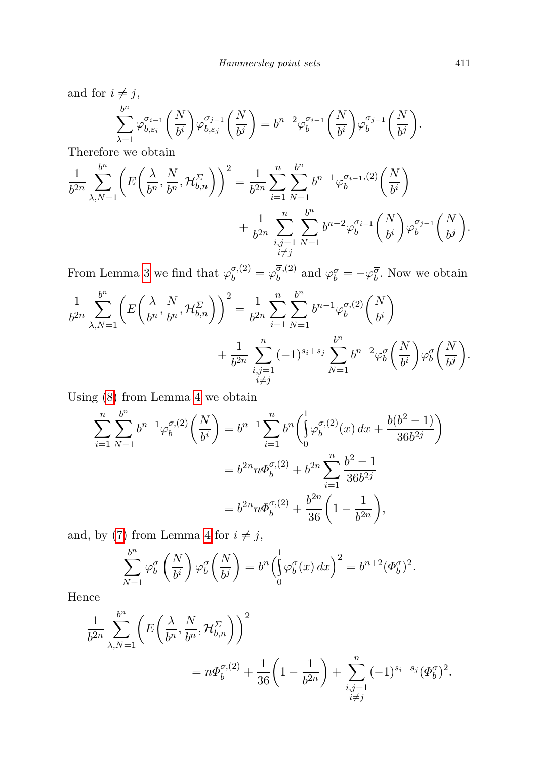and for  $i \neq j$ ,

$$
\sum_{\lambda=1}^{b^n} \varphi_{b,\varepsilon_i}^{\sigma_{i-1}} \left( \frac{N}{b^i} \right) \varphi_{b,\varepsilon_j}^{\sigma_{j-1}} \left( \frac{N}{b^j} \right) = b^{n-2} \varphi_b^{\sigma_{i-1}} \left( \frac{N}{b^i} \right) \varphi_b^{\sigma_{j-1}} \left( \frac{N}{b^j} \right).
$$

Therefore we obtain

$$
\frac{1}{b^{2n}} \sum_{\lambda,N=1}^{b^n} \left( E\left(\frac{\lambda}{b^n}, \frac{N}{b^n}, \mathcal{H}_{b,n}^{\Sigma}\right) \right)^2 = \frac{1}{b^{2n}} \sum_{i=1}^n \sum_{N=1}^{b^n} b^{n-1} \varphi_b^{\sigma_{i-1},(2)}\left(\frac{N}{b^i}\right) + \frac{1}{b^{2n}} \sum_{\substack{i,j=1 \ i \neq j}}^{n} \sum_{N=1}^{b^n} b^{n-2} \varphi_b^{\sigma_{i-1}}\left(\frac{N}{b^i}\right) \varphi_b^{\sigma_{j-1}}\left(\frac{N}{b^j}\right).
$$

From Lemma [3](#page-8-1) we find that  $\varphi_b^{\sigma,(2)} = \varphi_b^{\overline{\sigma},(2)}$  $\phi_b^{\sigma,(2)}$  and  $\varphi_b^{\sigma} = -\varphi_b^{\overline{\sigma}}$ . Now we obtain

$$
\frac{1}{b^{2n}}\sum_{\lambda,N=1}^{b^n} \left( E\left(\frac{\lambda}{b^n}, \frac{N}{b^n}, \mathcal{H}_{b,n}^{\Sigma}\right) \right)^2 = \frac{1}{b^{2n}}\sum_{i=1}^n \sum_{N=1}^{b^n} b^{n-1} \varphi_b^{\sigma,(2)}\left(\frac{N}{b^i}\right) + \frac{1}{b^{2n}}\sum_{\substack{i,j=1 \ i \neq j}}^n (-1)^{s_i+s_j} \sum_{N=1}^{b^n} b^{n-2} \varphi_b^{\sigma}\left(\frac{N}{b^i}\right) \varphi_b^{\sigma}\left(\frac{N}{b^j}\right).
$$

Using [\(8\)](#page-8-0) from Lemma [4](#page-8-0) we obtain

$$
\sum_{i=1}^{n} \sum_{N=1}^{b^{n}} b^{n-1} \varphi_{b}^{\sigma,(2)} \left( \frac{N}{b^{i}} \right) = b^{n-1} \sum_{i=1}^{n} b^{n} \left( \int_{0}^{1} \varphi_{b}^{\sigma,(2)}(x) dx + \frac{b(b^{2} - 1)}{36b^{2j}} \right)
$$
  
=  $b^{2n} n \Phi_{b}^{\sigma,(2)} + b^{2n} \sum_{i=1}^{n} \frac{b^{2} - 1}{36b^{2j}}$   
=  $b^{2n} n \Phi_{b}^{\sigma,(2)} + \frac{b^{2n}}{36} \left( 1 - \frac{1}{b^{2n}} \right),$ 

and, by [\(7\)](#page-8-0) from Lemma [4](#page-8-0) for  $i\neq j,$ 

$$
\sum_{N=1}^{b^n} \varphi_b^{\sigma} \left( \frac{N}{b^i} \right) \varphi_b^{\sigma} \left( \frac{N}{b^j} \right) = b^n \left( \int_0^1 \varphi_b^{\sigma} (x) \, dx \right)^2 = b^{n+2} (\Phi_b^{\sigma})^2.
$$

Hence

$$
\frac{1}{b^{2n}} \sum_{\lambda,N=1}^{b^n} \left( E\left(\frac{\lambda}{b^n}, \frac{N}{b^n}, \mathcal{H}_{b,n}^{\Sigma}\right) \right)^2
$$
  
=  $n\Phi_b^{\sigma,(2)} + \frac{1}{36} \left(1 - \frac{1}{b^{2n}}\right) + \sum_{\substack{i,j=1 \ i \neq j}}^n (-1)^{s_i + s_j} (\Phi_b^{\sigma})^2$ .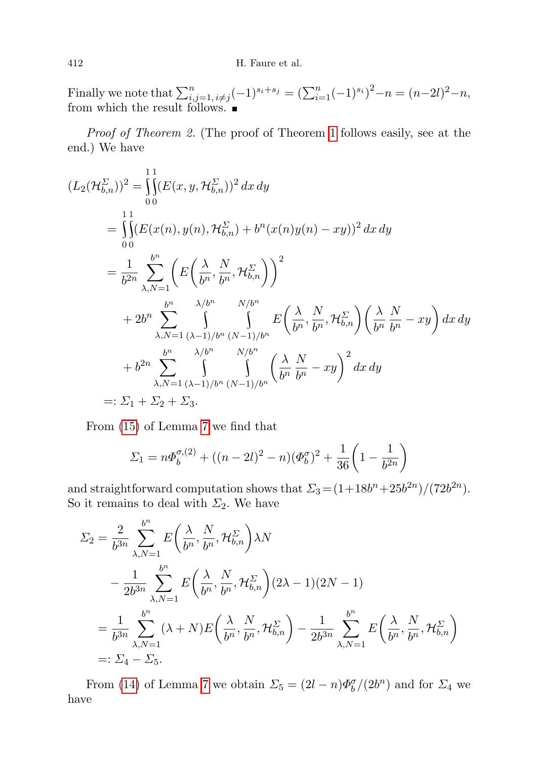Finally we note that  $\sum_{i,j=1, i\neq j}^{n} (-1)^{s_i+s_j} = (\sum_{i=1}^{n} (-1)^{s_i})^2 - n = (n-2l)^2 - n$ , from which the result follows.

Proof of Theorem 2. (The proof of Theorem [1](#page-4-1) follows easily, see at the end.) We have

$$
(L_2(\mathcal{H}_{b,n}^{\Sigma}))^2 = \int_{0}^{11} (E(x, y, \mathcal{H}_{b,n}^{\Sigma}))^2 dx dy
$$
  
\n
$$
= \int_{00}^{11} (E(x(n), y(n), \mathcal{H}_{b,n}^{\Sigma}) + b^n (x(n) y(n) - xy))^2 dx dy
$$
  
\n
$$
= \frac{1}{b^{2n}} \sum_{\lambda, N=1}^{b^n} \left( E\left(\frac{\lambda}{b^n}, \frac{N}{b^n}, \mathcal{H}_{b,n}^{\Sigma}\right) \right)^2
$$
  
\n
$$
+ 2b^n \sum_{\lambda, N=1}^{b^n} \int_{(\lambda-1)/b^n}^{\lambda/b^n} \int_{(N-1)/b^n}^{\lambda/b^n} E\left(\frac{\lambda}{b^n}, \frac{N}{b^n}, \mathcal{H}_{b,n}^{\Sigma}\right) \left(\frac{\lambda}{b^n} \frac{N}{b^n} - xy\right) dx dy
$$
  
\n
$$
+ b^{2n} \sum_{\lambda, N=1}^{b^n} \int_{(\lambda-1)/b^n}^{\lambda/b^n} \left(\frac{\lambda}{b^n} \frac{N}{b^n} - xy\right)^2 dx dy
$$
  
\n
$$
=: \Sigma_1 + \Sigma_2 + \Sigma_3.
$$

From [\(15\)](#page-15-1) of Lemma [7](#page-14-2) we find that

$$
\Sigma_1 = n\Phi_b^{\sigma,(2)} + ((n-2l)^2 - n)(\Phi_b^{\sigma})^2 + \frac{1}{36}\left(1 - \frac{1}{b^{2n}}\right)
$$

and straightforward computation shows that  $\Sigma_3 = (1 + 18b^n + 25b^{2n})/(72b^{2n})$ . So it remains to deal with  $\Sigma_2$ . We have

$$
\Sigma_2 = \frac{2}{b^{3n}} \sum_{\lambda, N=1}^{b^n} E\left(\frac{\lambda}{b^n}, \frac{N}{b^n}, \mathcal{H}_{b,n}^{\Sigma}\right) \lambda N
$$
  

$$
- \frac{1}{2b^{3n}} \sum_{\lambda, N=1}^{b^n} E\left(\frac{\lambda}{b^n}, \frac{N}{b^n}, \mathcal{H}_{b,n}^{\Sigma}\right) (2\lambda - 1)(2N - 1)
$$
  

$$
= \frac{1}{b^{3n}} \sum_{\lambda, N=1}^{b^n} (\lambda + N) E\left(\frac{\lambda}{b^n}, \frac{N}{b^n}, \mathcal{H}_{b,n}^{\Sigma}\right) - \frac{1}{2b^{3n}} \sum_{\lambda, N=1}^{b^n} E\left(\frac{\lambda}{b^n}, \frac{N}{b^n}, \mathcal{H}_{b,n}^{\Sigma}\right)
$$
  

$$
=: \Sigma_4 - \Sigma_5.
$$

From [\(14\)](#page-15-0) of Lemma [7](#page-14-2) we obtain  $\Sigma_5 = (2l - n)\Phi_b^{\sigma}/(2b^n)$  and for  $\Sigma_4$  we have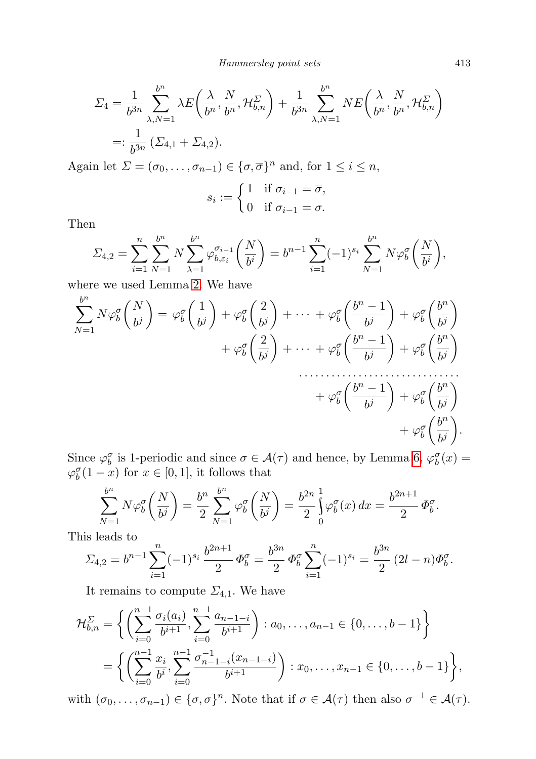Hammersley point sets 413

$$
\Sigma_4 = \frac{1}{b^{3n}} \sum_{\lambda, N=1}^{b^n} \lambda E\left(\frac{\lambda}{b^n}, \frac{N}{b^n}, \mathcal{H}_{b,n}^{\Sigma}\right) + \frac{1}{b^{3n}} \sum_{\lambda, N=1}^{b^n} NE\left(\frac{\lambda}{b^n}, \frac{N}{b^n}, \mathcal{H}_{b,n}^{\Sigma}\right)
$$
  
=: 
$$
\frac{1}{b^{3n}} \left(\Sigma_{4,1} + \Sigma_{4,2}\right).
$$

Again let  $\Sigma = (\sigma_0, \ldots, \sigma_{n-1}) \in \{\sigma, \overline{\sigma}\}^n$  and, for  $1 \le i \le n$ ,

$$
s_i := \begin{cases} 1 & \text{if } \sigma_{i-1} = \overline{\sigma}, \\ 0 & \text{if } \sigma_{i-1} = \sigma. \end{cases}
$$

Then

$$
\Sigma_{4,2} = \sum_{i=1}^{n} \sum_{N=1}^{b^n} N \sum_{\lambda=1}^{b^n} \varphi_{b,\varepsilon_i}^{\sigma_{i-1}} \left( \frac{N}{b^i} \right) = b^{n-1} \sum_{i=1}^{n} (-1)^{s_i} \sum_{N=1}^{b^n} N \varphi_b^{\sigma} \left( \frac{N}{b^i} \right),
$$

where we used Lemma [2.](#page-8-2) We have

$$
\sum_{N=1}^{b^{n}} N\varphi_{b}^{\sigma} \left(\frac{N}{b^{j}}\right) = \varphi_{b}^{\sigma} \left(\frac{1}{b^{j}}\right) + \varphi_{b}^{\sigma} \left(\frac{2}{b^{j}}\right) + \dots + \varphi_{b}^{\sigma} \left(\frac{b^{n}-1}{b^{j}}\right) + \varphi_{b}^{\sigma} \left(\frac{b^{n}}{b^{j}}\right) + \varphi_{b}^{\sigma} \left(\frac{b^{n}}{b^{j}}\right) + \varphi_{b}^{\sigma} \left(\frac{b^{n}}{b^{j}}\right) + \dots + \varphi_{b}^{\sigma} \left(\frac{b^{n}-1}{b^{j}}\right) + \varphi_{b}^{\sigma} \left(\frac{b^{n}}{b^{j}}\right) + \varphi_{b}^{\sigma} \left(\frac{b^{n}}{b^{j}}\right) + \varphi_{b}^{\sigma} \left(\frac{b^{n}}{b^{j}}\right) + \varphi_{b}^{\sigma} \left(\frac{b^{n}}{b^{j}}\right).
$$

Since  $\varphi_b^{\sigma}$  is 1-periodic and since  $\sigma \in \mathcal{A}(\tau)$  and hence, by Lemma [6,](#page-14-3)  $\varphi_b^{\sigma}(x) =$  $\varphi_b^{\sigma}(1-x)$  for  $x \in [0,1]$ , it follows that

$$
\sum_{N=1}^{b^{n}} N \varphi_{b}^{\sigma} \left( \frac{N}{b^{j}} \right) = \frac{b^{n}}{2} \sum_{N=1}^{b^{n}} \varphi_{b}^{\sigma} \left( \frac{N}{b^{j}} \right) = \frac{b^{2n}}{2} \int_{0}^{1} \varphi_{b}^{\sigma}(x) dx = \frac{b^{2n+1}}{2} \Phi_{b}^{\sigma}.
$$

This leads to

$$
\Sigma_{4,2} = b^{n-1} \sum_{i=1}^{n} (-1)^{s_i} \frac{b^{2n+1}}{2} \Phi_b^{\sigma} = \frac{b^{3n}}{2} \Phi_b^{\sigma} \sum_{i=1}^{n} (-1)^{s_i} = \frac{b^{3n}}{2} (2l - n) \Phi_b^{\sigma}.
$$

It remains to compute  $\Sigma_{4,1}$ . We have

$$
\mathcal{H}_{b,n}^{\Sigma} = \left\{ \left( \sum_{i=0}^{n-1} \frac{\sigma_i(a_i)}{b^{i+1}}, \sum_{i=0}^{n-1} \frac{a_{n-1-i}}{b^{i+1}} \right) : a_0, \dots, a_{n-1} \in \{0, \dots, b-1\} \right\}
$$
  
= 
$$
\left\{ \left( \sum_{i=0}^{n-1} \frac{x_i}{b^i}, \sum_{i=0}^{n-1} \frac{\sigma_{n-1-i}^{-1}(x_{n-1-i})}{b^{i+1}} \right) : x_0, \dots, x_{n-1} \in \{0, \dots, b-1\} \right\},
$$

with  $(\sigma_0, \ldots, \sigma_{n-1}) \in \{\sigma, \overline{\sigma}\}^n$ . Note that if  $\sigma \in \mathcal{A}(\tau)$  then also  $\sigma^{-1} \in \mathcal{A}(\tau)$ .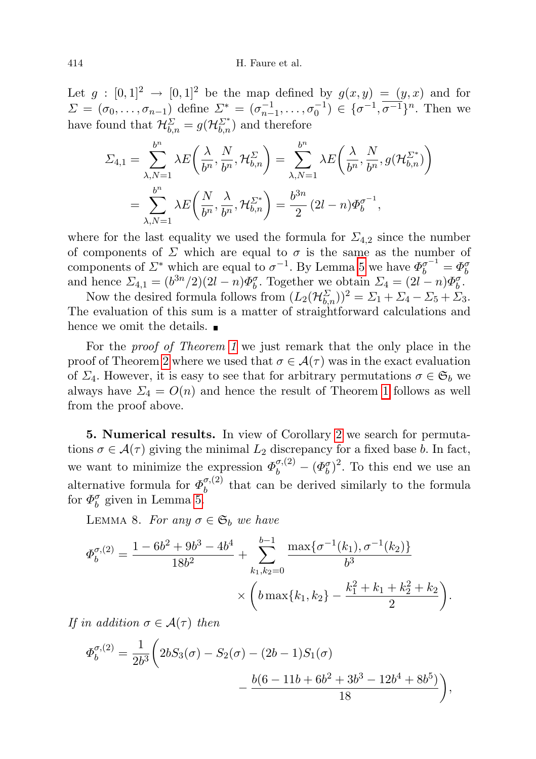Let  $g : [0,1]^2 \rightarrow [0,1]^2$  be the map defined by  $g(x,y) = (y,x)$  and for  $\Sigma = (\sigma_0, \ldots, \sigma_{n-1})$  define  $\Sigma^* = (\sigma_{n-1}^{-1}, \ldots, \sigma_0^{-1}) \in {\{\sigma^{-1}, \overline{\sigma^{-1}}\}}^n$ . Then we have found that  $\mathcal{H}_{b,n}^{\Sigma}=g(\mathcal{H}_{b,n}^{\Sigma^*})$  and therefore

$$
\Sigma_{4,1} = \sum_{\lambda,N=1}^{b^n} \lambda E\left(\frac{\lambda}{b^n}, \frac{N}{b^n}, \mathcal{H}_{b,n}^{\Sigma}\right) = \sum_{\lambda,N=1}^{b^n} \lambda E\left(\frac{\lambda}{b^n}, \frac{N}{b^n}, g(\mathcal{H}_{b,n}^{\Sigma^*})\right)
$$

$$
= \sum_{\lambda,N=1}^{b^n} \lambda E\left(\frac{N}{b^n}, \frac{\lambda}{b^n}, \mathcal{H}_{b,n}^{\Sigma^*}\right) = \frac{b^{3n}}{2} (2l - n) \Phi_b^{\sigma^{-1}},
$$

where for the last equality we used the formula for  $\Sigma_{4,2}$  since the number of components of  $\Sigma$  which are equal to  $\sigma$  is the same as the number of components of  $\mathcal{L}^*$  which are equal to  $\sigma^{-1}$ . By Lemma [5](#page-13-1) we have  $\Phi_b^{\sigma^{-1}} = \Phi_b^{\sigma}$ and hence  $\Sigma_{4,1} = (b^{3n}/2)(2l - n)\Phi_b^{\sigma}$ . Together we obtain  $\Sigma_4 = (2l - n)\Phi_b^{\sigma}$ .

Now the desired formula follows from  $(L_2(\mathcal{H}_{b,n}^{\Sigma}))^2 = \Sigma_1 + \Sigma_4 - \Sigma_5 + \Sigma_3$ . The evaluation of this sum is a matter of straightforward calculations and hence we omit the details.

For the proof of Theorem [1](#page-4-1) we just remark that the only place in the proof of Theorem [2](#page-4-2) where we used that  $\sigma \in \mathcal{A}(\tau)$  was in the exact evaluation of  $\Sigma_4$ . However, it is easy to see that for arbitrary permutations  $\sigma \in \mathfrak{S}_b$  we always have  $\Sigma_4 = O(n)$  and hence the result of Theorem [1](#page-4-1) follows as well from the proof above.

<span id="page-19-0"></span>5. Numerical results. In view of Corollary [2](#page-5-0) we search for permutations  $\sigma \in \mathcal{A}(\tau)$  giving the minimal  $L_2$  discrepancy for a fixed base b. In fact, we want to minimize the expression  $\Phi_b^{\sigma,(2)} - (\Phi_b^{\sigma})^2$ . To this end we use an alternative formula for  $\Phi_b^{\sigma,(2)}$  $b_b^{(0,1)}$  that can be derived similarly to the formula for  $\Phi_b^{\sigma}$  given in Lemma [5.](#page-13-1)

<span id="page-19-1"></span>LEMMA 8. For any  $\sigma \in \mathfrak{S}_b$  we have

$$
\Phi_b^{\sigma,(2)} = \frac{1 - 6b^2 + 9b^3 - 4b^4}{18b^2} + \sum_{k_1, k_2 = 0}^{b-1} \frac{\max\{\sigma^{-1}(k_1), \sigma^{-1}(k_2)\}}{b^3} \times \left(b \max\{k_1, k_2\} - \frac{k_1^2 + k_1 + k_2^2 + k_2}{2}\right).
$$

If in addition  $\sigma \in \mathcal{A}(\tau)$  then

$$
\Phi_b^{\sigma,(2)} = \frac{1}{2b^3} \left( 2bS_3(\sigma) - S_2(\sigma) - (2b-1)S_1(\sigma) - \frac{b(6-11b+6b^2+3b^3-12b^4+8b^5)}{18} \right),
$$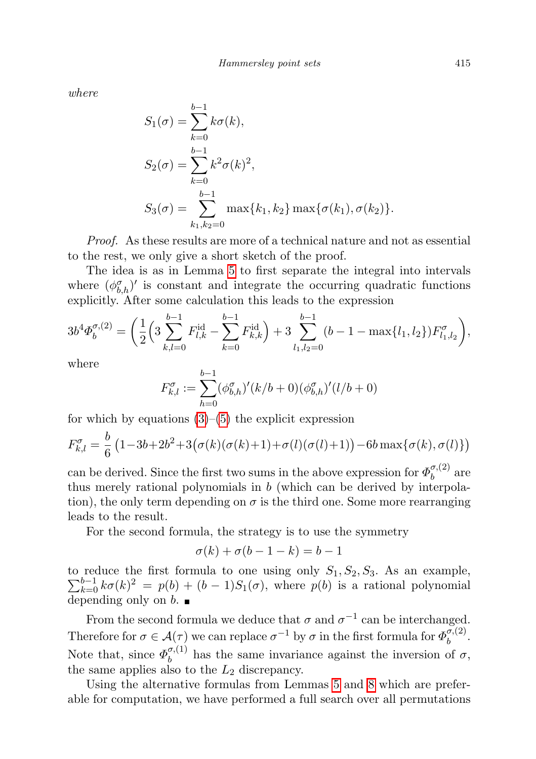where

$$
S_1(\sigma) = \sum_{k=0}^{b-1} k\sigma(k),
$$
  
\n
$$
S_2(\sigma) = \sum_{k=0}^{b-1} k^2 \sigma(k)^2,
$$
  
\n
$$
S_3(\sigma) = \sum_{k_1, k_2=0}^{b-1} \max\{k_1, k_2\} \max\{\sigma(k_1), \sigma(k_2)\}.
$$

Proof. As these results are more of a technical nature and not as essential to the rest, we only give a short sketch of the proof.

The idea is as in Lemma [5](#page-13-1) to first separate the integral into intervals where  $(\phi_{b,h}^{\sigma})'$  is constant and integrate the occurring quadratic functions explicitly. After some calculation this leads to the expression

$$
3b^4\Phi_b^{\sigma,(2)} = \left(\frac{1}{2}\left(3\sum_{k,l=0}^{b-1} F_{l,k}^{id} - \sum_{k=0}^{b-1} F_{k,k}^{id}\right) + 3\sum_{l_1,l_2=0}^{b-1} (b-1 - \max\{l_1, l_2\})F_{l_1,l_2}^{\sigma}\right),
$$

where

$$
F_{k,l}^{\sigma} := \sum_{h=0}^{b-1} (\phi_{b,h}^{\sigma})'(k/b+0)(\phi_{b,h}^{\sigma})'(l/b+0)
$$

for which by equations  $(3)$ – $(5)$  the explicit expression

$$
F_{k,l}^{\sigma} = \frac{b}{6} \left( 1 - 3b + 2b^2 + 3(\sigma(k)(\sigma(k) + 1) + \sigma(l)(\sigma(l) + 1)) - 6b \max\{\sigma(k), \sigma(l)\}\right)
$$

can be derived. Since the first two sums in the above expression for  $\Phi_h^{\sigma,(2)}$  $\int_b^{\sigma,(2)}$  are thus merely rational polynomials in b (which can be derived by interpolation), the only term depending on  $\sigma$  is the third one. Some more rearranging leads to the result.

For the second formula, the strategy is to use the symmetry

$$
\sigma(k) + \sigma(b - 1 - k) = b - 1
$$

to reduce the first formula to one using only  $\sum$ reduce the first formula to one using only  $S_1$ ,  $S_2$ ,  $S_3$ . As an example,  $b-1$ <br> $b-1$ ,  $b<sup>b-1</sup>$ ,  $b<sup>c</sup>$ ,  $b<sup>c</sup>$ ) is a rational polynomial depending only on  $\overline{b}$ .

From the second formula we deduce that  $\sigma$  and  $\sigma^{-1}$  can be interchanged. Therefore for  $\sigma \in \mathcal{A}(\tau)$  we can replace  $\sigma^{-1}$  by  $\sigma$  in the first formula for  $\Phi_h^{\sigma,(2)}$  $\int_b^{b,+(-1)}$ Note that, since  $\Phi_h^{\sigma,(1)}$  $\theta_b^{(1)}$  has the same invariance against the inversion of  $\sigma$ , the same applies also to the  $L_2$  discrepancy.

Using the alternative formulas from Lemmas [5](#page-13-1) and [8](#page-19-1) which are preferable for computation, we have performed a full search over all permutations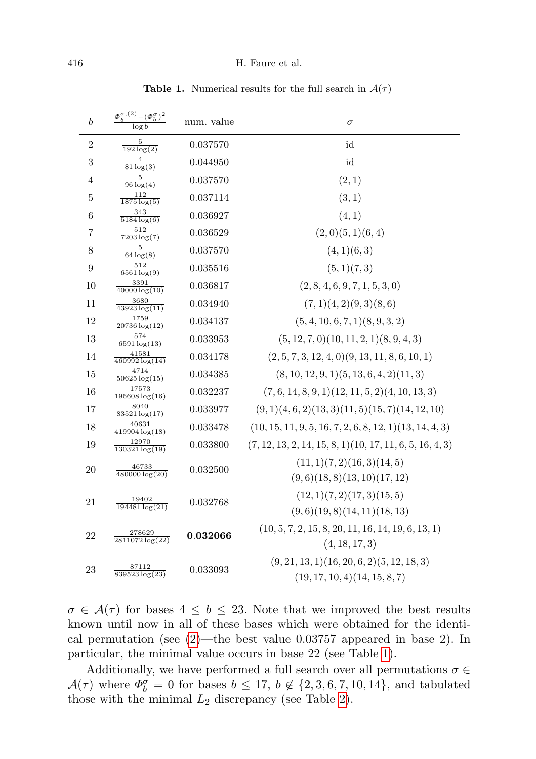| $\boldsymbol{b}$ | $\frac{\varPhi^{\sigma,(2)}_b - (\varPhi^{\sigma}_b)^2}{\log b}$ | num. value | $\sigma$                                                                      |
|------------------|------------------------------------------------------------------|------------|-------------------------------------------------------------------------------|
| $\overline{2}$   | 5<br>$\overline{192 \log(2)}$                                    | 0.037570   | id                                                                            |
| 3                | $\frac{4}{81 \log(3)}$                                           | 0.044950   | id                                                                            |
| 4                | $\frac{5}{96 \log(4)}$                                           | 0.037570   | (2,1)                                                                         |
| 5                | 112<br>$1875 \log(5)$                                            | 0.037114   | (3,1)                                                                         |
| 6                | 343<br>$5184 \log(6)$                                            | 0.036927   | (4, 1)                                                                        |
| $\overline{7}$   | 512<br>$\sqrt{7203 \log(7)}$                                     | 0.036529   | (2,0)(5,1)(6,4)                                                               |
| 8                | 5<br>$\overline{64 \log(8)}$                                     | 0.037570   | (4,1)(6,3)                                                                    |
| 9                | 512<br>$\sqrt{6561 \log(9)}$                                     | 0.035516   | (5,1)(7,3)                                                                    |
| 10               | 3391                                                             | 0.036817   | (2, 8, 4, 6, 9, 7, 1, 5, 3, 0)                                                |
| 11               | 3680<br>$43923 \log(11)$                                         | 0.034940   | (7,1)(4,2)(9,3)(8,6)                                                          |
| 12               | 1759<br>$20736 \log(12)$                                         | 0.034137   | (5, 4, 10, 6, 7, 1)(8, 9, 3, 2)                                               |
| 13               | 574<br>$6591 \log(13)$                                           | 0.033953   | $(5, 12, 7, 0)$ $(10, 11, 2, 1)$ $(8, 9, 4, 3)$                               |
| 14               | 41581<br>$460992 \log(14)$                                       | 0.034178   | $(2, 5, 7, 3, 12, 4, 0)$ $(9, 13, 11, 8, 6, 10, 1)$                           |
| 15               | 4714<br>$\frac{50625 \log(15)}{2}$                               | 0.034385   | $(8, 10, 12, 9, 1)$ $(5, 13, 6, 4, 2)$ $(11, 3)$                              |
| 16               | 17573<br>$196608 \log(16)$                                       | 0.032237   | $(7, 6, 14, 8, 9, 1)(12, 11, 5, 2)(4, 10, 13, 3)$                             |
| 17               | 8040<br>$83521 \log(17)$                                         | 0.033977   | $(9, 1)(4, 6, 2)(13, 3)(11, 5)(15, 7)(14, 12, 10)$                            |
| 18               | 40631<br>$419904 \log(18)$                                       | 0.033478   | $(10, 15, 11, 9, 5, 16, 7, 2, 6, 8, 12, 1)(13, 14, 4, 3)$                     |
| 19               | 12970<br>$130321 \log(19)$                                       | 0.033800   | $(7, 12, 13, 2, 14, 15, 8, 1)(10, 17, 11, 6, 5, 16, 4, 3)$                    |
| 20               | 46733<br>$480000 \log(20)$                                       | 0.032500   | (11, 1)(7, 2)(16, 3)(14, 5)<br>(9,6)(18,8)(13,10)(17,12)                      |
| 21               | 19402<br>$194481 \log(21)$                                       | 0.032768   | (12, 1)(7, 2)(17, 3)(15, 5)<br>(9,6)(19,8)(14,11)(18,13)                      |
| 22               | 278629<br>2811072 log(22)                                        | 0.032066   | $(10, 5, 7, 2, 15, 8, 20, 11, 16, 14, 19, 6, 13, 1)$<br>(4, 18, 17, 3)        |
| 23               | 87112<br>$839523 \log(23)$                                       | 0.033093   | $(9, 21, 13, 1)(16, 20, 6, 2)(5, 12, 18, 3)$<br>(19, 17, 10, 4)(14, 15, 8, 7) |

<span id="page-21-0"></span>**Table 1.** Numerical results for the full search in  $A(\tau)$ 

 $\sigma \in \mathcal{A}(\tau)$  for bases  $4 \leq b \leq 23$ . Note that we improved the best results known until now in all of these bases which were obtained for the identical permutation (see  $(2)$ —the best value 0.03757 appeared in base 2). In particular, the minimal value occurs in base 22 (see Table [1\)](#page-21-0).

Additionally, we have performed a full search over all permutations  $\sigma \in$  $\mathcal{A}(\tau)$  where  $\Phi_b^{\sigma} = 0$  for bases  $b \leq 17$ ,  $b \notin \{2, 3, 6, 7, 10, 14\}$ , and tabulated those with the minimal  $L_2$  discrepancy (see Table [2\)](#page-22-10).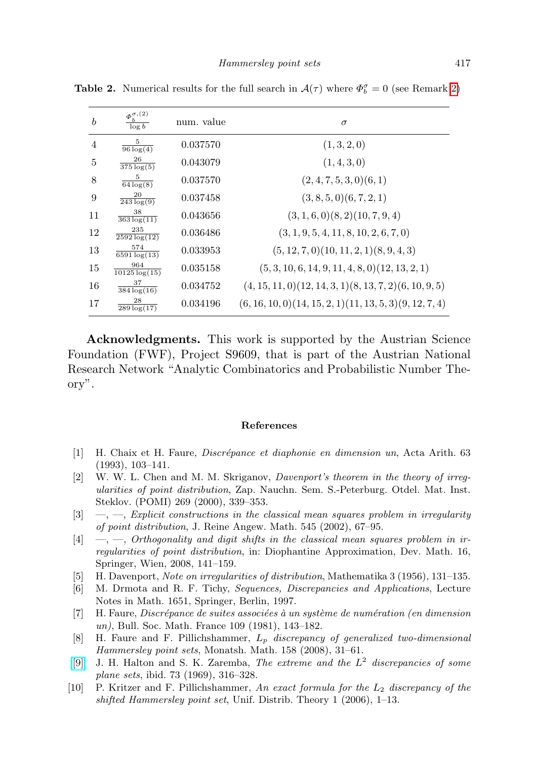<span id="page-22-10"></span>

| $\boldsymbol{b}$ | $\Phi_h^{\sigma,(2)}$<br>$\log b$ | num. value | $\sigma$                                                           |
|------------------|-----------------------------------|------------|--------------------------------------------------------------------|
| $\overline{4}$   | 5<br>$\overline{96 \log(4)}$      | 0.037570   | (1,3,2,0)                                                          |
| 5                | 26<br>$\overline{375 \log(5)}$    | 0.043079   | (1, 4, 3, 0)                                                       |
| 8                | 5<br>$\sqrt{64 \log(8)}$          | 0.037570   | $(2, 4, 7, 5, 3, 0)$ $(6, 1)$                                      |
| 9                | 20<br>$\sqrt{243 \log(9)}$        | 0.037458   | $(3, 8, 5, 0)$ $(6, 7, 2, 1)$                                      |
| 11               | 38<br>$363 \log(11)$              | 0.043656   | $(3, 1, 6, 0)$ $(8, 2)$ $(10, 7, 9, 4)$                            |
| 12               | 235<br>$2592 \log(12)$            | 0.036486   | $(3, 1, 9, 5, 4, 11, 8, 10, 2, 6, 7, 0)$                           |
| 13               | 574<br>$\sqrt{6591 \log(13)}$     | 0.033953   | $(5, 12, 7, 0)$ $(10, 11, 2, 1)$ $(8, 9, 4, 3)$                    |
| 15               | 964<br>$\sqrt{10125 \log(15)}$    | 0.035158   | $(5, 3, 10, 6, 14, 9, 11, 4, 8, 0)$ $(12, 13, 2, 1)$               |
| 16               | 37<br>$\frac{384 \log(16)}{2}$    | 0.034752   | $(4, 15, 11, 0)$ $(12, 14, 3, 1)$ $(8, 13, 7, 2)$ $(6, 10, 9, 5)$  |
| 17               | 28<br>$289 \log(17)$              | 0.034196   | $(6, 16, 10, 0)$ $(14, 15, 2, 1)$ $(11, 13, 5, 3)$ $(9, 12, 7, 4)$ |

**Table 2.** Numerical results for the full search in  $\mathcal{A}(\tau)$  where  $\Phi_b^{\sigma} = 0$  (see Remark [2\)](#page-5-2)

Acknowledgments. This work is supported by the Austrian Science Foundation (FWF), Project S9609, that is part of the Austrian National Research Network "Analytic Combinatorics and Probabilistic Number Theory".

## References

- <span id="page-22-3"></span>[1] H. Chaix et H. Faure, *Discrépance et diaphonie en dimension un*, Acta Arith. 63 (1993), 103–141.
- <span id="page-22-1"></span>[2] W. W. L. Chen and M. M. Skriganov, Davenport's theorem in the theory of irregularities of point distribution, Zap. Nauchn. Sem. S.-Peterburg. Otdel. Mat. Inst. Steklov. (POMI) 269 (2000), 339–353.
- <span id="page-22-4"></span> $[3] \quad -$ , Explicit constructions in the classical mean squares problem in irregularity of point distribution, J. Reine Angew. Math. 545 (2002), 67–95.
- <span id="page-22-5"></span> $[4] \quad -$ ,  $\quad$ , Orthogonality and digit shifts in the classical mean squares problem in irregularities of point distribution, in: Diophantine Approximation, Dev. Math. 16, Springer, Wien, 2008, 141–159.
- <span id="page-22-0"></span>[5] H. Davenport, Note on irregularities of distribution, Mathematika 3 (1956), 131–135.
- <span id="page-22-2"></span>[6] M. Drmota and R. F. Tichy, Sequences, Discrepancies and Applications, Lecture Notes in Math. 1651, Springer, Berlin, 1997.
- <span id="page-22-6"></span> $[7]$  H. Faure, Discrépance de suites associées à un système de numération (en dimension un), Bull. Soc. Math. France 109 (1981), 143–182.
- <span id="page-22-7"></span>[8] H. Faure and F. Pillichshammer,  $L_p$  discrepancy of generalized two-dimensional Hammersley point sets, Monatsh. Math. 158 (2008), 31–61.
- <span id="page-22-8"></span>[\[9\]](http://dx.doi.org/10.1007/BF01298982) J. H. Halton and S. K. Zaremba, The extreme and the  $L^2$  discrepancies of some plane sets, ibid. 73 (1969), 316–328.
- <span id="page-22-9"></span>[10] P. Kritzer and F. Pillichshammer, An exact formula for the  $L_2$  discrepancy of the shifted Hammersley point set, Unif. Distrib. Theory 1 (2006), 1–13.